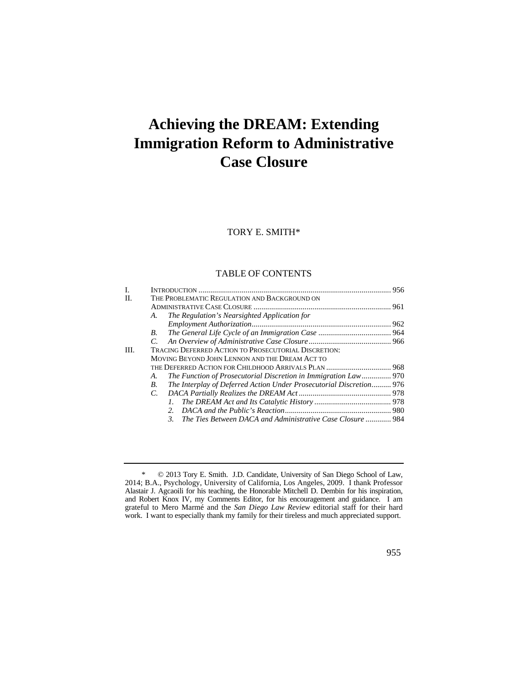# **Achieving the DREAM: Extending Immigration Reform to Administrative Case Closure**

# TORY E. SMITH\*

## TABLE OF CONTENTS

| $\mathbf{I}$ . |                                                                           |  |
|----------------|---------------------------------------------------------------------------|--|
| II.            | THE PROBLEMATIC REGULATION AND BACKGROUND ON                              |  |
|                |                                                                           |  |
|                | The Regulation's Nearsighted Application for<br>A.                        |  |
|                |                                                                           |  |
|                | B.                                                                        |  |
|                | C.                                                                        |  |
| III.           | <b>TRACING DEFERRED ACTION TO PROSECUTORIAL DISCRETION:</b>               |  |
|                | MOVING BEYOND JOHN LENNON AND THE DREAM ACT TO                            |  |
|                |                                                                           |  |
|                | The Function of Prosecutorial Discretion in Immigration Law 970<br>A.     |  |
|                | The Interplay of Deferred Action Under Prosecutorial Discretion 976<br>B. |  |
|                | C.                                                                        |  |
|                | L.                                                                        |  |
|                | 2.                                                                        |  |
|                | The Ties Between DACA and Administrative Case Closure  984<br>3.          |  |
|                |                                                                           |  |

 and Robert Knox IV, my Comments Editor, for his encouragement and guidance. I am \* © 2013 Tory E. Smith. J.D. Candidate, University of San Diego School of Law, 2014; B.A., Psychology, University of California, Los Angeles, 2009. I thank Professor Alastair J. Agcaoili for his teaching, the Honorable Mitchell D. Dembin for his inspiration, grateful to Mero Marmé and the *San Diego Law Review* editorial staff for their hard work. I want to especially thank my family for their tireless and much appreciated support.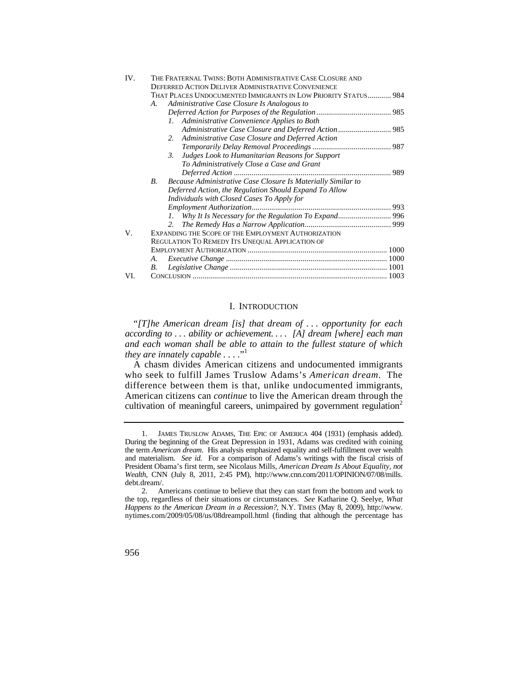| IV. |    | THE FRATERNAL TWINS: BOTH ADMINISTRATIVE CASE CLOSURE AND      |  |
|-----|----|----------------------------------------------------------------|--|
|     |    | <b>DEFERRED ACTION DELIVER ADMINISTRATIVE CONVENIENCE</b>      |  |
|     |    | THAT PLACES UNDOCUMENTED IMMIGRANTS IN LOW PRIORITY STATUS 984 |  |
|     | A. | Administrative Case Closure Is Analogous to                    |  |
|     |    |                                                                |  |
|     |    | Administrative Convenience Applies to Both<br>L                |  |
|     |    |                                                                |  |
|     |    | Administrative Case Closure and Deferred Action<br>2.          |  |
|     |    |                                                                |  |
|     |    | Judges Look to Humanitarian Reasons for Support<br>3.          |  |
|     |    | To Administratively Close a Case and Grant                     |  |
|     |    |                                                                |  |
|     | В. | Because Administrative Case Closure Is Materially Similar to   |  |
|     |    | Deferred Action, the Regulation Should Expand To Allow         |  |
|     |    | Individuals with Closed Cases To Apply for                     |  |
|     |    |                                                                |  |
|     |    |                                                                |  |
|     |    | $2^{\circ}$                                                    |  |
| V.  |    | EXPANDING THE SCOPE OF THE EMPLOYMENT AUTHORIZATION            |  |
|     |    | REGULATION TO REMEDY ITS UNEQUAL APPLICATION OF                |  |
|     |    |                                                                |  |
|     | А. |                                                                |  |
|     | В. |                                                                |  |
| VI. |    |                                                                |  |

## I. INTRODUCTION

 *according to . . . ability or achievement. . . . [A] dream [where] each man*  "*[T]he American dream [is] that dream of . . . opportunity for each and each woman shall be able to attain to the fullest stature of which they are innately capable . . . .*" 1

 difference between them is that, unlike undocumented immigrants, A chasm divides American citizens and undocumented immigrants who seek to fulfill James Truslow Adams's *American dream*. The American citizens can *continue* to live the American dream through the cultivation of meaningful careers, unimpaired by government regulation<sup>2</sup>

 During the beginning of the Great Depression in 1931, Adams was credited with coining and materialism. *See id.* For a comparison of Adams's writings with the fiscal crisis of 1. JAMES TRUSLOW ADAMS, THE EPIC OF AMERICA 404 (1931) (emphasis added). the term *American dream*. His analysis emphasized equality and self-fulfillment over wealth President Obama's first term, see Nicolaus Mills, *American Dream Is About Equality, not Wealth*, CNN (July 8, 2011, 2:45 PM), [http://www.cnn.com/2011/OPINION/07/08/mills.](http://www.cnn.com/2011/OPINION/07/08/mills) debt.dream/.

 the top, regardless of their situations or circumstances. *See* Katharine Q. Seelye, *What*  [nytimes.com/2009/05/08/us/08dreampoll.html](https://nytimes.com/2009/05/08/us/08dreampoll.html) (finding that although the percentage has 2. Americans continue to believe that they can start from the bottom and work to *Happens to the American Dream in a Recession?*, N.Y. TIMES (May 8, 2009), [http://www.](http://www)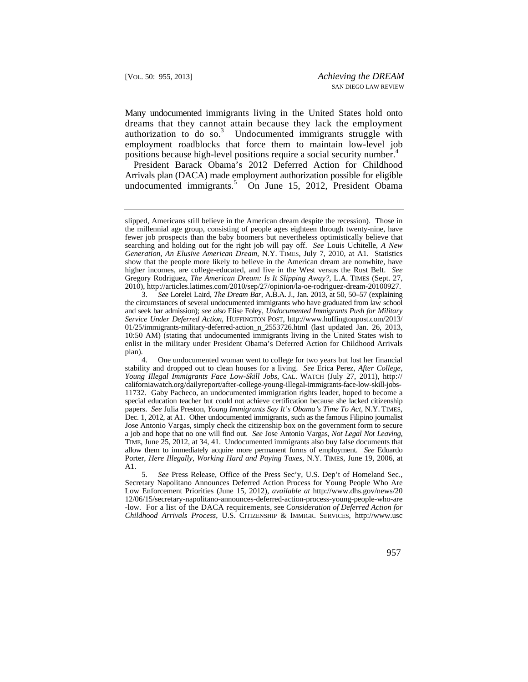Many undocumented immigrants living in the United States hold onto dreams that they cannot attain because they lack the employment authorization to do so.<sup>3</sup> Undocumented immigrants struggle with employment roadblocks that force them to maintain low-level job positions because high-level positions require a social security number.<sup>4</sup>

President Barack Obama's 2012 Deferred Action for Childhood Arrivals plan (DACA) made employment authorization possible for eligible undocumented immigrants.<sup>5</sup> On June 15, 2012, President Obama

 searching and holding out for the right job will pay off. *See* Louis Uchitelle, *A New*  slipped, Americans still believe in the American dream despite the recession). Those in the millennial age group, consisting of people ages eighteen through twenty-nine, have fewer job prospects than the baby boomers but nevertheless optimistically believe that *Generation, An Elusive American Dream*, N.Y. TIMES, July 7, 2010, at A1. Statistics show that the people more likely to believe in the American dream are nonwhite, have higher incomes, are college-educated, and live in the West versus the Rust Belt. *See*  Gregory Rodriguez, *The American Dream: Is It Slipping Away?*, L.A. TIMES (Sept. 27, 2010), [http://articles.latimes.com/2010/sep/27/opinion/la-oe-rodriguez-dream-20100927.](http://articles.latimes.com/2010/sep/27/opinion/la-oe-rodriguez-dream-20100927)

 and seek bar admission); *see also* Elise Foley, *Undocumented Immigrants Push for Military*  3. *See* Lorelei Laird, *The Dream Bar*, A.B.A. J., Jan. 2013, at 50, 50–57 (explaining the circumstances of several undocumented immigrants who have graduated from law school *Service Under Deferred Action*, HUFFINGTON POST, [http://www.huffingtonpost.com/2013/](http://www.huffingtonpost.com/2013) 01/25/immigrants-military-deferred-action\_n\_2553726.html (last updated Jan. 26, 2013, 10:50 AM) (stating that undocumented immigrants living in the United States wish to enlist in the military under President Obama's Deferred Action for Childhood Arrivals plan).

 Dec. 1, 2012, at A1. Other undocumented immigrants, such as the famous Filipino journalist allow them to immediately acquire more permanent forms of employment. *See* Eduardo 4. One undocumented woman went to college for two years but lost her financial stability and dropped out to clean houses for a living. *See* Erica Perez, *After College, Young Illegal Immigrants Face Low-Skill Jobs*, CAL. WATCH (July 27, 2011), http:// [californiawatch.org/dailyreport/after-college-young-illegal-immigrants-face-low-skill-jobs-](https://californiawatch.org/dailyreport/after-college-young-illegal-immigrants-face-low-skill-jobs)11732. Gaby Pacheco, an undocumented immigration rights leader, hoped to become a special education teacher but could not achieve certification because she lacked citizenship papers. *See* Julia Preston, *Young Immigrants Say It's Obama's Time To Act*, N.Y. TIMES, Jose Antonio Vargas, simply check the citizenship box on the government form to secure a job and hope that no one will find out. *See* Jose Antonio Vargas, *Not Legal Not Leaving*, TIME, June 25, 2012, at 34, 41. Undocumented immigrants also buy false documents that Porter, *Here Illegally, Working Hard and Paying Taxes*, N.Y. TIMES, June 19, 2006, at A1.

 *Childhood Arrivals Process*, U.S. CITIZENSHIP & IMMIGR. SERVICES, <http://www.usc> 5. *See* Press Release, Office of the Press Sec'y, U.S. Dep't of Homeland Sec., Secretary Napolitano Announces Deferred Action Process for Young People Who Are Low Enforcement Priorities (June 15, 2012), *available at* <http://www.dhs.gov/news/20> 12/06/15/secretary-napolitano-announces-deferred-action-process-young-people-who-are -low. For a list of the DACA requirements, see *Consideration of Deferred Action for*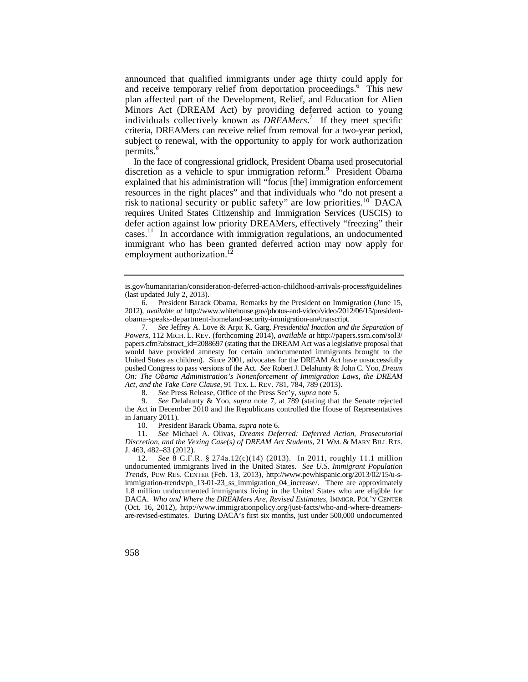announced that qualified immigrants under age thirty could apply for and receive temporary relief from deportation proceedings.<sup>6</sup> This new plan affected part of the Development, Relief, and Education for Alien Minors Act (DREAM Act) by providing deferred action to young individuals collectively known as *DREAMers*. 7 If they meet specific criteria, DREAMers can receive relief from removal for a two-year period, subject to renewal, with the opportunity to apply for work authorization permits.<sup>8</sup>

 resources in the right places" and that individuals who "do not present a risk to national security or public safety" are low priorities.<sup>10</sup> DACA In the face of congressional gridlock, President Obama used prosecutorial discretion as a vehicle to spur immigration reform.<sup>9</sup> President Obama explained that his administration will "focus [the] immigration enforcement requires United States Citizenship and Immigration Services (USCIS) to defer action against low priority DREAMers, effectively "freezing" their [cases.](https://cases.11)11 In accordance with immigration regulations, an undocumented immigrant who has been granted deferred action may now apply for employment authorization.<sup>12</sup>

 *Powers*, 112 MICH. L. REV. (forthcoming 2014), *available at* [http://papers.ssrn.com/sol3/](http://papers.ssrn.com/sol3) papers.cfm?abstract\_id=2088697 (stating that the DREAM Act was a legislative proposal that *Act, and the Take Care Clause*, 91 TEX. L. REV. 781, 784, 789 (2013). 7. *See* Jeffrey A. Love & Arpit K. Garg, *Presidential Inaction and the Separation of*  would have provided amnesty for certain undocumented immigrants brought to the United States as children). Since 2001, advocates for the DREAM Act have unsuccessfully pushed Congress to pass versions of the Act. *See* Robert J. Delahunty & John C. Yoo, *Dream On: The Obama Administration's Nonenforcement of Immigration Laws, the DREAM*

8. *See* Press Release, Office of the Press Sec'y, *supra* note 5.

9. *See* Delahunty & Yoo, *supra* note 7, at 789 (stating that the Senate rejected the Act in December 2010 and the Republicans controlled the House of Representatives in January 2011).

10. President Barack Obama, *supra* note 6.

 *Discretion, and the Vexing Case(s) of DREAM Act Students*, 21 WM. & MARY BILL RTS. 11. *See* Michael A. Olivas, *Dreams Deferred: Deferred Action, Prosecutorial*  J. 463, 482–83 (2012).

 12. *See* 8 C.F.R. § 274a.12(c)(14) (2013). In 2011, roughly 11.1 million undocumented immigrants lived in the United States. *See U.S. Immigrant Population*  DACA. *Who and Where the DREAMers Are, Revised Estimates*, IMMIGR. POL'Y CENTER are-revised-estimates. During DACA's first six months, just under 500,000 undocumented *Trends*, PEW RES. CENTER (Feb. 13, 2013), <http://www.pewhispanic.org/2013/02/15/u-s>immigration-trends/ph\_13-01-23\_ss\_immigration\_04\_increase/. There are approximately 1.8 million undocumented immigrants living in the United States who are eligible for (Oct. 16, 2012), [http://www.immigrationpolicy.org/just-facts/who-and-where-dreamers-](http://www.immigrationpolicy.org/just-facts/who-and-where-dreamers)

is.gov/humanitarian/consideration-deferred-action-childhood-arrivals-process#guidelines (last updated July 2, 2013).

<sup>6.</sup> President Barack Obama, Remarks by the President on Immigration (June 15, 2012), *available at* <http://www.whitehouse.gov/photos-and-video/video/2012/06/15/president>obama-speaks-department-homeland-security-immigration-an#transcript.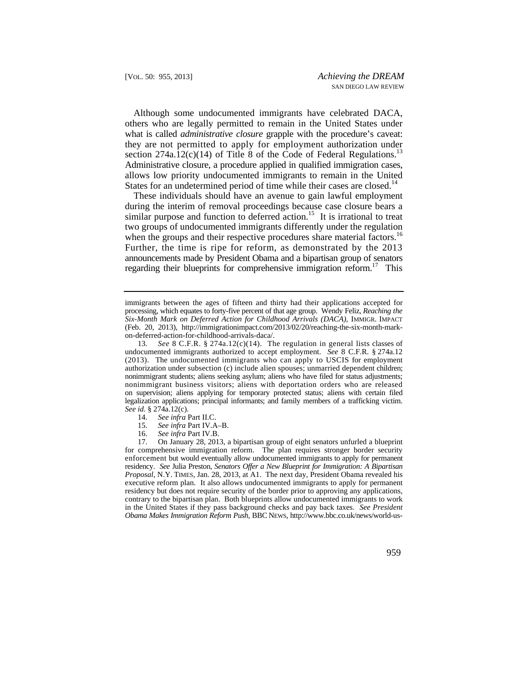they are not permitted to apply for employment authorization under section 274a.12(c)(14) of Title 8 of the Code of Federal Regulations.<sup>13</sup> Although some undocumented immigrants have celebrated DACA, others who are legally permitted to remain in the United States under what is called *administrative closure* grapple with the procedure's caveat: Administrative closure, a procedure applied in qualified immigration cases, allows low priority undocumented immigrants to remain in the United States for an undetermined period of time while their cases are [closed.](https://closed.14)<sup>14</sup>

when the groups and their respective procedures share material [factors.](https://factors.16)<sup>16</sup> These individuals should have an avenue to gain lawful employment during the interim of removal proceedings because case closure bears a similar purpose and function to deferred action.<sup>15</sup> It is irrational to treat two groups of undocumented immigrants differently under the regulation Further, the time is ripe for reform, as demonstrated by the 2013 announcements made by President Obama and a bipartisan group of senators regarding their blueprints for comprehensive immigration reform.<sup>17</sup> This

- 14. *See infra* Part II.C.
- 15. *See infra* Part IV.A–B.
- 16. *See infra* Part IV.B.

 enforcement but would eventually allow undocumented immigrants to apply for permanent residency. *See* Julia Preston, *Senators Offer a New Blueprint for Immigration: A Bipartisan*  in the United States if they pass background checks and pay back taxes. *See President*  17. On January 28, 2013, a bipartisan group of eight senators unfurled a blueprint for comprehensive immigration reform. The plan requires stronger border security *Proposal*, N.Y. TIMES, Jan. 28, 2013, at A1. The next day, President Obama revealed his executive reform plan. It also allows undocumented immigrants to apply for permanent residency but does not require security of the border prior to approving any applications, contrary to the bipartisan plan. Both blueprints allow undocumented immigrants to work *Obama Makes Immigration Reform Push*, BBC NEWS, <http://www.bbc.co.uk/news/world-us>-

 processing, which equates to forty-five percent of that age group. Wendy Feliz, *Reaching the*  immigrants between the ages of fifteen and thirty had their applications accepted for *Six-Month Mark on Deferred Action for Childhood Arrivals (DACA)*, IMMIGR. IMPACT (Feb. 20, 2013), <http://immigrationimpact.com/2013/02/20/reaching-the-six-month-mark>on-deferred-action-for-childhood-arrivals-daca/.

 (2013). The undocumented immigrants who can apply to USCIS for employment legalization applications; principal informants; and family members of a trafficking victim. 13. *See* 8 C.F.R. § 274a.12(c)(14). The regulation in general lists classes of undocumented immigrants authorized to accept employment. *See* 8 C.F.R. § 274a.12 authorization under subsection (c) include alien spouses; unmarried dependent children; nonimmigrant students; aliens seeking asylum; aliens who have filed for status adjustments; nonimmigrant business visitors; aliens with deportation orders who are released on supervision; aliens applying for temporary protected status; aliens with certain filed *See id.* § 274a.12(c).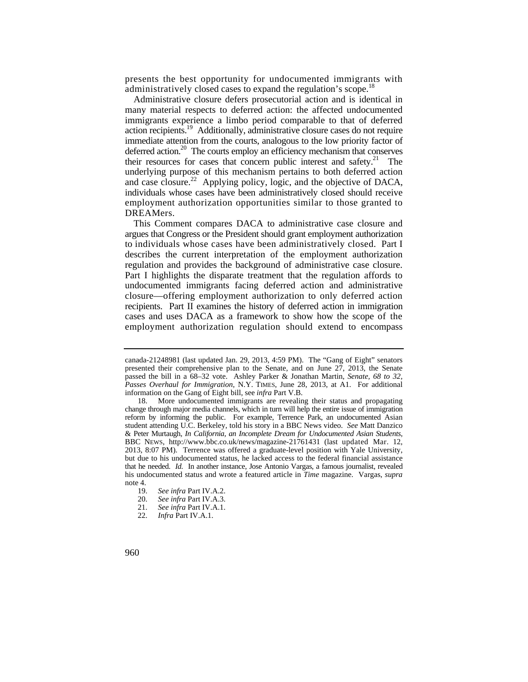presents the best opportunity for undocumented immigrants with administratively closed cases to expand the regulation's scope.<sup>18</sup>

Administrative closure defers prosecutorial action and is identical in many material respects to deferred action: the affected undocumented immigrants experience a limbo period comparable to that of deferred action recipients.<sup>19</sup> Additionally, administrative closure cases do not require immediate attention from the courts, analogous to the low priority factor of deferred action.<sup>20</sup> The courts employ an efficiency mechanism that conserves their resources for cases that concern public interest and safety.<sup>21</sup> The underlying purpose of this mechanism pertains to both deferred action and case closure.<sup>22</sup> Applying policy, logic, and the objective of DACA, individuals whose cases have been administratively closed should receive employment authorization opportunities similar to those granted to DREAMers.

 to individuals whose cases have been administratively closed. Part I cases and uses DACA as a framework to show how the scope of the employment authorization regulation should extend to encompass This Comment compares DACA to administrative case closure and argues that Congress or the President should grant employment authorization describes the current interpretation of the employment authorization regulation and provides the background of administrative case closure. Part I highlights the disparate treatment that the regulation affords to undocumented immigrants facing deferred action and administrative closure—offering employment authorization to only deferred action recipients. Part II examines the history of deferred action in immigration

canada-21248981 (last updated Jan. 29, 2013, 4:59 PM). The "Gang of Eight" senators presented their comprehensive plan to the Senate, and on June 27, 2013, the Senate passed the bill in a 68–32 vote. Ashley Parker & Jonathan Martin, *Senate, 68 to 32, Passes Overhaul for Immigration*, N.Y. TIMES, June 28, 2013, at A1. For additional information on the Gang of Eight bill, see *infra* Part V.B.

 reform by informing the public. For example, Terrence Park, an undocumented Asian BBC NEWS, <http://www.bbc.co.uk/news/magazine-21761431> (last updated Mar. 12, that he needed. *Id.* In another instance, Jose Antonio Vargas, a famous journalist, revealed More undocumented immigrants are revealing their status and propagating change through major media channels, which in turn will help the entire issue of immigration student attending U.C. Berkeley, told his story in a BBC News video. *See* Matt Danzico & Peter Murtaugh, *In California, an Incomplete Dream for Undocumented Asian Students*, 2013, 8:07 PM). Terrence was offered a graduate-level position with Yale University, but due to his undocumented status, he lacked access to the federal financial assistance his undocumented status and wrote a featured article in *Time* magazine. Vargas, *supra* note 4.

<sup>19.</sup> *See infra* Part IV.A.2.

<sup>20.</sup> *See infra* Part IV.A.3.

<sup>21.</sup> *See infra* Part IV.A.1.

<sup>22.</sup> *Infra* Part IV.A.1.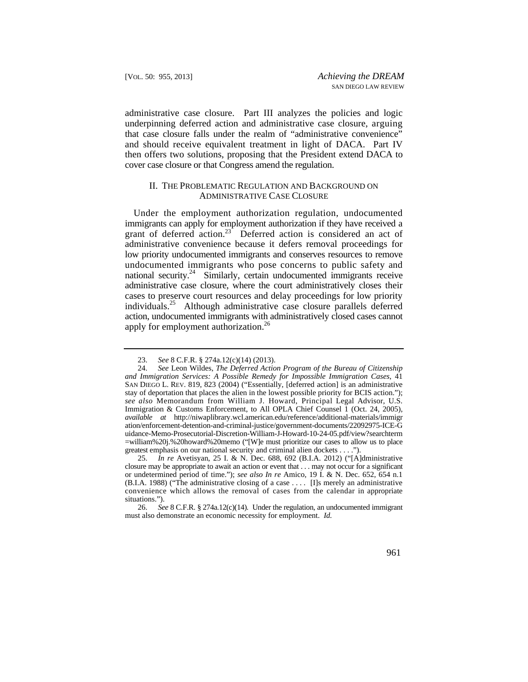then offers two solutions, proposing that the President extend DACA to administrative case closure. Part III analyzes the policies and logic underpinning deferred action and administrative case closure, arguing that case closure falls under the realm of "administrative convenience" and should receive equivalent treatment in light of DACA. Part IV cover case closure or that Congress amend the regulation.

#### II. THE PROBLEMATIC REGULATION AND BACKGROUND ON ADMINISTRATIVE CASE CLOSURE

 immigrants can apply for employment authorization if they have received a undocumented immigrants who pose concerns to public safety and administrative case closure, where the court administratively closes their Under the employment authorization regulation, undocumented grant of deferred action.<sup>23</sup> Deferred action is considered an act of administrative convenience because it defers removal proceedings for low priority undocumented immigrants and conserves resources to remove national security.<sup>24</sup> Similarly, certain undocumented immigrants receive cases to preserve court resources and delay proceedings for low priority [individuals.25](https://individuals.25) Although administrative case closure parallels deferred action, undocumented immigrants with administratively closed cases cannot apply for employment authorization.<sup>26</sup>

<sup>23.</sup> *See* 8 C.F.R. § 274a.12(c)(14) (2013).

 *see also* Memorandum from William J. Howard, Principal Legal Advisor, U.S. =william%20j.%20howard%20memo ("[W]e must prioritize our cases to allow us to place 24. *See* Leon Wildes, *The Deferred Action Program of the Bureau of Citizenship and Immigration Services: A Possible Remedy for Impossible Immigration Cases*, 41 SAN DIEGO L. REV. 819, 823 (2004) ("Essentially, [deferred action] is an administrative stay of deportation that places the alien in the lowest possible priority for BCIS action."); Immigration & Customs Enforcement, to All OPLA Chief Counsel 1 (Oct. 24, 2005), *available at* <http://niwaplibrary.wcl.american.edu/reference/additional-materials/immigr> ation/enforcement-detention-and-criminal-justice/government-documents/22092975-ICE-G uidance-Memo-Prosecutorial-Discretion-William-J-Howard-10-24-05.pdf/view?searchterm greatest emphasis on our national security and criminal alien dockets . . . .").

 closure may be appropriate to await an action or event that . . . may not occur for a significant convenience which allows the removal of cases from the calendar in appropriate 25. *In re* Avetisyan, 25 I. & N. Dec. 688, 692 (B.I.A. 2012) ("[A]dministrative or undetermined period of time."); *see also In re* Amico, 19 I. & N. Dec. 652, 654 n.1 (B.I.A. 1988) ("The administrative closing of a case . . . . [I]s merely an administrative situations.").

 26. *See* 8 C.F.R. § 274a.12(c)(14). Under the regulation, an undocumented immigrant must also demonstrate an economic necessity for employment. *Id.*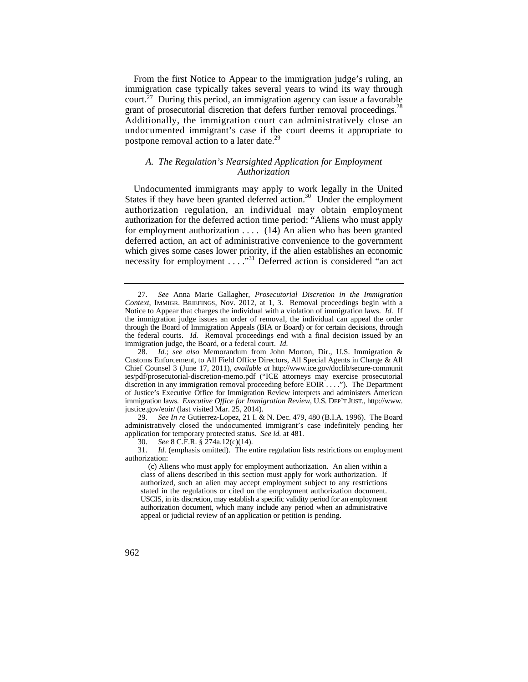court.<sup>27</sup> During this period, an immigration agency can issue a favorable From the first Notice to Appear to the immigration judge's ruling, an immigration case typically takes several years to wind its way through grant of prosecutorial discretion that defers further removal proceedings.<sup>28</sup> Additionally, the immigration court can administratively close an undocumented immigrant's case if the court deems it appropriate to postpone removal action to a later date.<sup>29</sup>

# *A. The Regulation's Nearsighted Application for Employment Authorization*

Undocumented immigrants may apply to work legally in the United States if they have been granted deferred action.<sup>30</sup> Under the employment authorization regulation, an individual may obtain employment authorization for the deferred action time period: "Aliens who must apply for employment authorization . . . . (14) An alien who has been granted deferred action, an act of administrative convenience to the government which gives some cases lower priority, if the alien establishes an economic necessity for employment . . . . . . . . . . . . . Deferred action is considered "an act

29. *See In re* Gutierrez-Lopez, 21 I. & N. Dec. 479, 480 (B.I.A. 1996). The Board administratively closed the undocumented immigrant's case indefinitely pending her application for temporary protected status. *See id.* at 481.

30. *See* 8 C.F.R. § 274a.12(c)(14).

 Notice to Appear that charges the individual with a violation of immigration laws. *Id.* If the federal courts. *Id.* Removal proceedings end with a final decision issued by an 27. *See* Anna Marie Gallagher, *Prosecutorial Discretion in the Immigration Context*, IMMIGR. BRIEFINGS, Nov. 2012, at 1, 3. Removal proceedings begin with a the immigration judge issues an order of removal, the individual can appeal the order through the Board of Immigration Appeals (BIA or Board) or for certain decisions, through immigration judge, the Board, or a federal court. *Id.* 

<sup>28.</sup> *Id.*; *see also* Memorandum from John Morton, Dir., U.S. Immigration & Customs Enforcement, to All Field Office Directors, All Special Agents in Charge & All Chief Counsel 3 (June 17, 2011), *available at* <http://www.ice.gov/doclib/secure-communit> ies/pdf/prosecutorial-discretion-memo.pdf ("ICE attorneys may exercise prosecutorial discretion in any immigration removal proceeding before EOIR . . . ."). The Department of Justice's Executive Office for Immigration Review interprets and administers American immigration laws. *Executive Office for Immigration Review*, U.S. DEP'T JUST., [http://www.](http://www) [justice.gov/eoir/](https://justice.gov/eoir) (last visited Mar. 25, 2014).

<sup>31.</sup> *Id.* (emphasis omitted). The entire regulation lists restrictions on employment authorization:

 USCIS, in its discretion, may establish a specific validity period for an employment authorization document, which many include any period when an administrative (c) Aliens who must apply for employment authorization. An alien within a class of aliens described in this section must apply for work authorization. If authorized, such an alien may accept employment subject to any restrictions stated in the regulations or cited on the employment authorization document. appeal or judicial review of an application or petition is pending.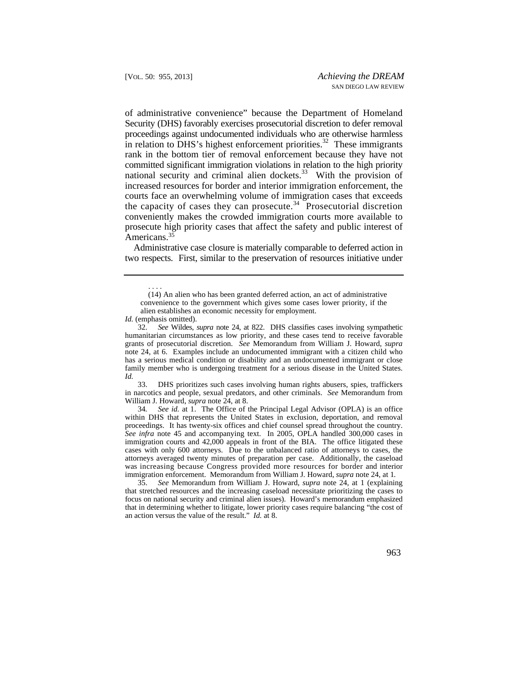of administrative convenience" because the Department of Homeland Security (DHS) favorably exercises prosecutorial discretion to defer removal proceedings against undocumented individuals who are otherwise harmless in relation to DHS's highest enforcement priorities.<sup>32</sup> These immigrants rank in the bottom tier of removal enforcement because they have not committed significant immigration violations in relation to the high priority national security and criminal alien [dockets.](https://dockets.33)<sup>33</sup> With the provision of increased resources for border and interior immigration enforcement, the courts face an overwhelming volume of immigration cases that exceeds the capacity of cases they can [prosecute.](https://prosecute.34)<sup>34</sup> Prosecutorial discretion conveniently makes the crowded immigration courts more available to prosecute high priority cases that affect the safety and public interest of Americans.<sup>35</sup>

Administrative case closure is materially comparable to deferred action in two respects. First, similar to the preservation of resources initiative under

33. DHS prioritizes such cases involving human rights abusers, spies, traffickers in narcotics and people, sexual predators, and other criminals. *See* Memorandum from William J. Howard, *supra* note 24, at 8.

 34*. See id.* at 1. The Office of the Principal Legal Advisor (OPLA) is an office cases with only 600 attorneys. Due to the unbalanced ratio of attorneys to cases, the was increasing because Congress provided more resources for border and interior within DHS that represents the United States in exclusion, deportation, and removal proceedings. It has twenty-six offices and chief counsel spread throughout the country. *See infra* note 45 and accompanying text. In 2005, OPLA handled 300,000 cases in immigration courts and 42,000 appeals in front of the BIA. The office litigated these attorneys averaged twenty minutes of preparation per case. Additionally, the caseload immigration enforcement. Memorandum from William J. Howard, *supra* note 24, at 1*.* 

35. *See* Memorandum from William J. Howard, *supra* note 24, at 1 (explaining that stretched resources and the increasing caseload necessitate prioritizing the cases to focus on national security and criminal alien issues). Howard's memorandum emphasized that in determining whether to litigate, lower priority cases require balancing "the cost of an action versus the value of the result." *Id.* at 8.

<sup>. . . .</sup>  (14) An alien who has been granted deferred action, an act of administrative convenience to the government which gives some cases lower priority, if the alien establishes an economic necessity for employment.

*Id.* (emphasis omitted).

 32. *See* Wildes, *supra* note 24, at 822. DHS classifies cases involving sympathetic humanitarian circumstances as low priority, and these cases tend to receive favorable grants of prosecutorial discretion. *See* Memorandum from William J. Howard, *supra* note 24, at 6. Examples include an undocumented immigrant with a citizen child who has a serious medical condition or disability and an undocumented immigrant or close family member who is undergoing treatment for a serious disease in the United States. *Id.*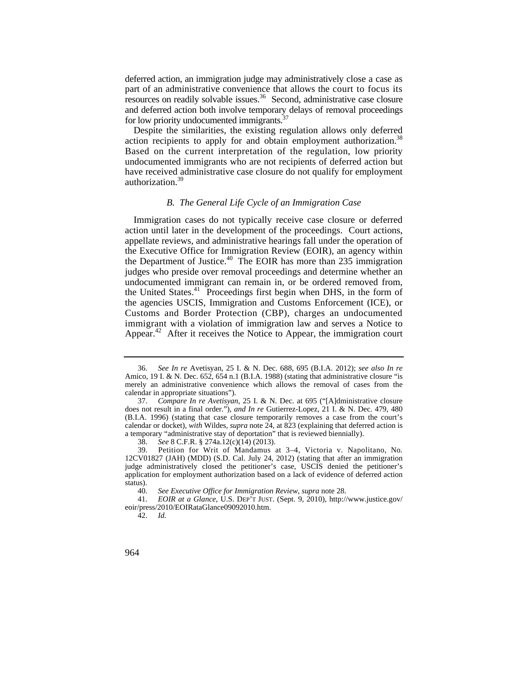part of an administrative convenience that allows the court to focus its deferred action, an immigration judge may administratively close a case as resources on readily solvable [issues.36](https://issues.36) Second, administrative case closure and deferred action both involve temporary delays of removal proceedings for low priority undocumented immigrants.<sup>37</sup>

 Despite the similarities, the existing regulation allows only deferred action recipients to apply for and obtain employment authorization.<sup>38</sup> Based on the current interpretation of the regulation, low priority undocumented immigrants who are not recipients of deferred action but have received administrative case closure do not qualify for employment [authorization.39](https://authorization.39) 

## *B. The General Life Cycle of an Immigration Case*

Immigration cases do not typically receive case closure or deferred action until later in the development of the proceedings. Court actions, appellate reviews, and administrative hearings fall under the operation of the Executive Office for Immigration Review (EOIR), an agency within the Department of [Justice.](https://Justice.40)<sup>40</sup> The EOIR has more than 235 immigration judges who preside over removal proceedings and determine whether an undocumented immigrant can remain in, or be ordered removed from, the United [States.](https://States.41)<sup>41</sup> Proceedings first begin when DHS, in the form of the agencies USCIS, Immigration and Customs Enforcement (ICE), or Customs and Border Protection (CBP), charges an undocumented immigrant with a violation of immigration law and serves a Notice to [Appear.](https://Appear.42)<sup>42</sup> After it receives the Notice to Appear, the immigration court

<sup>36.</sup> *See In re* Avetisyan, 25 I. & N. Dec. 688, 695 (B.I.A. 2012); *see also In re*  Amico, 19 I. & N. Dec. 652, 654 n.1 (B.I.A. 1988) (stating that administrative closure "is merely an administrative convenience which allows the removal of cases from the calendar in appropriate situations").

<sup>37.</sup> *Compare In re Avetisyan*, 25 I. & N. Dec. at 695 ("[A]dministrative closure does not result in a final order."), *and In re* Gutierrez-Lopez, 21 I. & N. Dec. 479, 480 (B.I.A. 1996) (stating that case closure temporarily removes a case from the court's calendar or docket), *with* Wildes, *supra* note 24, at 823 (explaining that deferred action is a temporary "administrative stay of deportation" that is reviewed biennially).

<sup>38.</sup> *See* 8 C.F.R. § 274a.12(c)(14) (2013).

<sup>39.</sup> Petition for Writ of Mandamus at 3–4, Victoria v. Napolitano, No. 12CV01827 (JAH) (MDD) (S.D. Cal. July 24, 2012) (stating that after an immigration judge administratively closed the petitioner's case, USCIS denied the petitioner's application for employment authorization based on a lack of evidence of deferred action status).

<sup>40.</sup> *See Executive Office for Immigration Review*, *supra* note 28.

<sup>41.</sup> *EOIR at a Glance*, U.S. DEP'T JUST. (Sept. 9, 2010), [http://www.justice.gov/](http://www.justice.gov) eoir/press/2010/EOIRataGlance09092010.htm.

<sup>42.</sup> *Id.*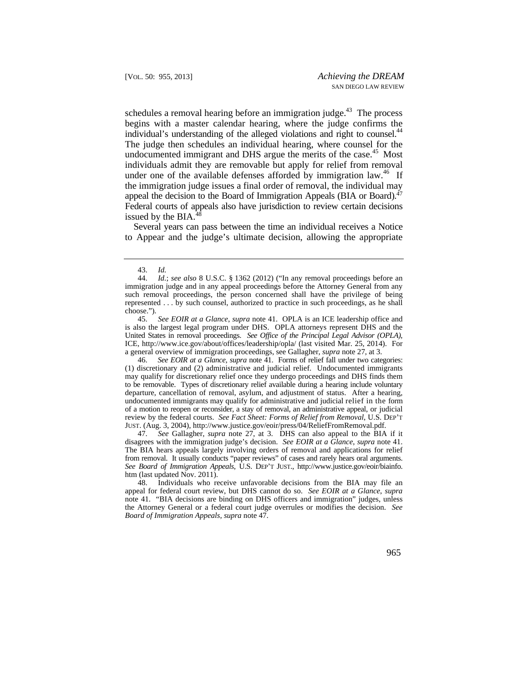schedules a removal hearing before an immigration judge. $43$  The process begins with a master calendar hearing, where the judge confirms the individual's understanding of the alleged violations and right to counsel.<sup>44</sup> The judge then schedules an individual hearing, where counsel for the undocumented immigrant and DHS argue the merits of the case.<sup>45</sup> Most individuals admit they are removable but apply for relief from removal under one of the available defenses afforded by immigration law.<sup>46</sup> If the immigration judge issues a final order of removal, the individual may appeal the decision to the Board of Immigration Appeals (BIA or Board).<sup>47</sup> Federal courts of appeals also have jurisdiction to review certain decisions issued by the BIA.48

Several years can pass between the time an individual receives a Notice to Appear and the judge's ultimate decision, allowing the appropriate

 undocumented immigrants may qualify for administrative and judicial relief in the form of a motion to reopen or reconsider, a stay of removal, an administrative appeal, or judicial 46. *See EOIR at a Glance*, *supra* note 41. Forms of relief fall under two categories: (1) discretionary and (2) administrative and judicial relief. Undocumented immigrants may qualify for discretionary relief once they undergo proceedings and DHS finds them to be removable. Types of discretionary relief available during a hearing include voluntary departure, cancellation of removal, asylum, and adjustment of status. After a hearing, review by the federal courts. *See Fact Sheet: Forms of Relief from Removal*, U.S. DEP'T JUST. (Aug. 3, 2004), [http://www.justice.gov/eoir/press/04/ReliefFromRemoval.pdf.](http://www.justice.gov/eoir/press/04/ReliefFromRemoval.pdf)

47. *See* Gallagher, *supra* note 27, at 3. DHS can also appeal to the BIA if it disagrees with the immigration judge's decision. *See EOIR at a Glance*, *supra* note 41. The BIA hears appeals largely involving orders of removal and applications for relief from removal. It usually conducts "paper reviews" of cases and rarely hears oral arguments. *See Board of Immigration Appeals*, U.S. DEP'T JUST., <http://www.justice.gov/eoir/biainfo>. htm (last updated Nov. 2011).

48. Individuals who receive unfavorable decisions from the BIA may file an appeal for federal court review, but DHS cannot do so. *See EOIR at a Glance*, *supra* note 41. "BIA decisions are binding on DHS officers and immigration" judges, unless the Attorney General or a federal court judge overrules or modifies the decision. *See Board of Immigration Appeals*, *supra* note 47.

<sup>43.</sup> *Id.* 

 such removal proceedings, the person concerned shall have the privilege of being 44. *Id.*; *see also* 8 U.S.C. § 1362 (2012) ("In any removal proceedings before an immigration judge and in any appeal proceedings before the Attorney General from any represented . . . by such counsel, authorized to practice in such proceedings, as he shall choose.").<br> $45.$ 

 United States in removal proceedings. *See Office of the Principal Legal Advisor (OPLA)*, 45. *See EOIR at a Glance*, *supra* note 41. OPLA is an ICE leadership office and is also the largest legal program under DHS. OPLA attorneys represent DHS and the ICE, <http://www.ice.gov/about/offices/leadership/opla>/ (last visited Mar. 25, 2014). For a general overview of immigration proceedings, see Gallagher, *supra* note 27, at 3.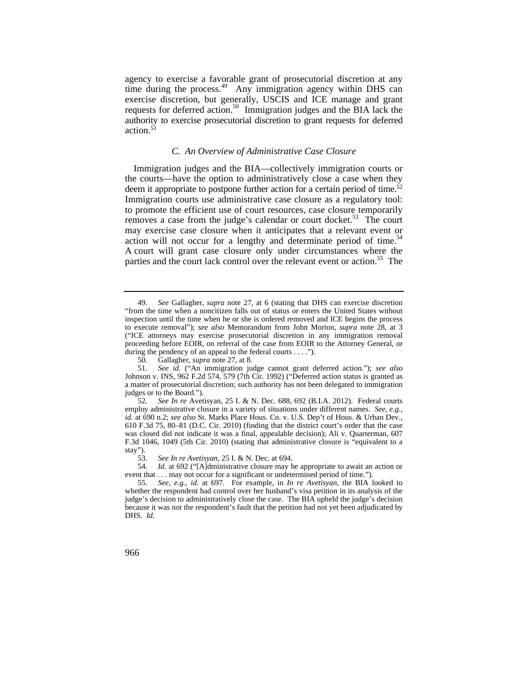agency to exercise a favorable grant of prosecutorial discretion at any time during the [process.](https://process.49)<sup>49</sup> Any immigration agency within DHS can exercise discretion, but generally, USCIS and ICE manage and grant requests for deferred [action.](https://action.50)<sup>50</sup> Immigration judges and the BIA lack the authority to exercise prosecutorial discretion to grant requests for deferred action. $51$ 

## *C. An Overview of Administrative Case Closure*

Immigration judges and the BIA—collectively immigration courts or the courts—have the option to administratively close a case when they deem it appropriate to postpone further action for a certain period of time.<sup>52</sup> Immigration courts use administrative case closure as a regulatory tool: to promote the efficient use of court resources, case closure temporarily removes a case from the judge's calendar or court [docket.](https://docket.53)<sup>53</sup> The court may exercise case closure when it anticipates that a relevant event or action will not occur for a lengthy and determinate period of time.<sup>54</sup> A court will grant case closure only under circumstances where the parties and the court lack control over the relevant event or action.<sup>55</sup> The

<sup>49.</sup> *See* Gallagher, *supra* note 27, at 6 (stating that DHS can exercise discretion "from the time when a noncitizen falls out of status or enters the United States without inspection until the time when he or she is ordered removed and ICE begins the process to execute removal"); *see also* Memorandum from John Morton, *supra* note 28, at 3 ("ICE attorneys may exercise prosecutorial discretion in any immigration removal proceeding before EOIR, on referral of the case from EOIR to the Attorney General, or during the pendency of an appeal to the federal courts . . . .").

 50. Gallagher, *supra* note 27, at 8.

<sup>51.</sup> *See id.* ("An immigration judge cannot grant deferred action."); *see also*  Johnson v. INS, 962 F.2d 574, 579 (7th Cir. 1992) ("Deferred action status is granted as a matter of prosecutorial discretion; such authority has not been delegated to immigration judges or to the Board.").

<sup>52.</sup> *See In re* Avetisyan, 25 I. & N. Dec. 688, 692 (B.I.A. 2012). Federal courts employ administrative closure in a variety of situations under different names. *See, e.g.*, *id.* at 690 n.2; *see also* St. Marks Place Hous. Co. v. U.S. Dep't of Hous. & Urban Dev*.*, 610 F.3d 75, 80–81 (D.C. Cir. 2010) (finding that the district court's order that the case was closed did not indicate it was a final, appealable decision); Ali v. Quarterman, 607 F.3d 1046, 1049 (5th Cir. 2010) (stating that administrative closure is "equivalent to a stay").<br> $53.$ 

<sup>53.</sup> *See In re Avetisyan*, 25 I. & N. Dec. at 694.

<sup>54.</sup> *Id.* at 692 ("[A]dministrative closure may be appropriate to await an action or event that . . . may not occur for a significant or undetermined period of time.").

 DHS. *Id.*  55. *See, e.g.*, *id.* at 697. For example, in *In re Avetisyan*, the BIA looked to whether the respondent had control over her husband's visa petition in its analysis of the judge's decision to administratively close the case. The BIA upheld the judge's decision because it was not the respondent's fault that the petition had not yet been adjudicated by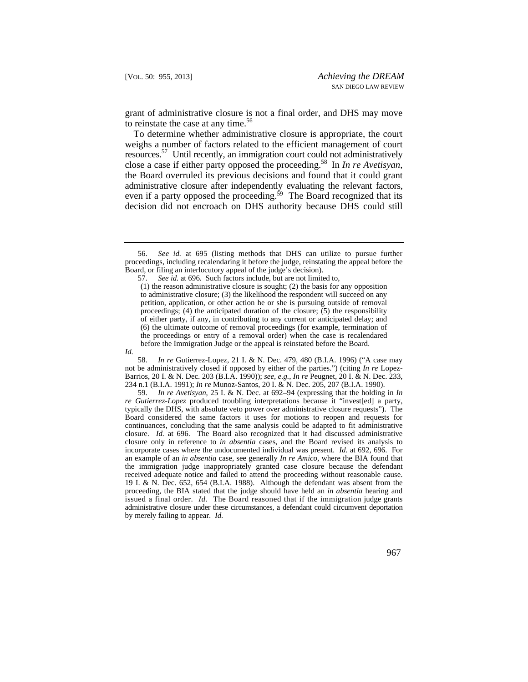grant of administrative closure is not a final order, and DHS may move to reinstate the case at any time.<sup>56</sup>

To determine whether administrative closure is appropriate, the court weighs a number of factors related to the efficient management of court [resources.57](https://resources.57) Until recently, an immigration court could not administratively close a case if either party opposed the [proceeding.58](https://proceeding.58) In *In re Avetisyan*, the Board overruled its previous decisions and found that it could grant administrative closure after independently evaluating the relevant factors, even if a party opposed the proceeding.<sup>59</sup> The Board recognized that its decision did not encroach on DHS authority because DHS could still

58. *In re* Gutierrez-Lopez, 21 I. & N. Dec. 479, 480 (B.I.A. 1996) ("A case may not be administratively closed if opposed by either of the parties.") (citing *In re* Lopez-Barrios, 20 I. & N. Dec. 203 (B.I.A. 1990)); *see, e.g.*, *In re* Peugnet, 20 I. & N. Dec. 233, 234 n.1 (B.I.A. 1991); *In re* Munoz-Santos, 20 I. & N. Dec. 205, 207 (B.I.A. 1990).

59. *In re Avetisyan*, 25 I. & N. Dec. at 692–94 (expressing that the holding in *In re Gutierrez-Lopez* produced troubling interpretations because it "invest[ed] a party, typically the DHS, with absolute veto power over administrative closure requests"). The Board considered the same factors it uses for motions to reopen and requests for continuances, concluding that the same analysis could be adapted to fit administrative closure. *Id.* at 696. The Board also recognized that it had discussed administrative closure only in reference to *in absentia* cases, and the Board revised its analysis to incorporate cases where the undocumented individual was present. *Id.* at 692, 696. For an example of an *in absentia* case, see generally *In re Amico*, where the BIA found that the immigration judge inappropriately granted case closure because the defendant received adequate notice and failed to attend the proceeding without reasonable cause. 19 I. & N. Dec. 652, 654 (B.I.A. 1988). Although the defendant was absent from the proceeding, the BIA stated that the judge should have held an *in absentia* hearing and issued a final order. *Id.* The Board reasoned that if the immigration judge grants administrative closure under these circumstances, a defendant could circumvent deportation by merely failing to appear. *Id.* 

See id. at 695 (listing methods that DHS can utilize to pursue further proceedings, including recalendaring it before the judge, reinstating the appeal before the Board, or filing an interlocutory appeal of the judge's decision).

 57. *See id.* at 696. Such factors include, but are not limited to,

 proceedings; (4) the anticipated duration of the closure; (5) the responsibility (1) the reason administrative closure is sought; (2) the basis for any opposition to administrative closure; (3) the likelihood the respondent will succeed on any petition, application, or other action he or she is pursuing outside of removal of either party, if any, in contributing to any current or anticipated delay; and (6) the ultimate outcome of removal proceedings (for example, termination of the proceedings or entry of a removal order) when the case is recalendared before the Immigration Judge or the appeal is reinstated before the Board.

*Id.*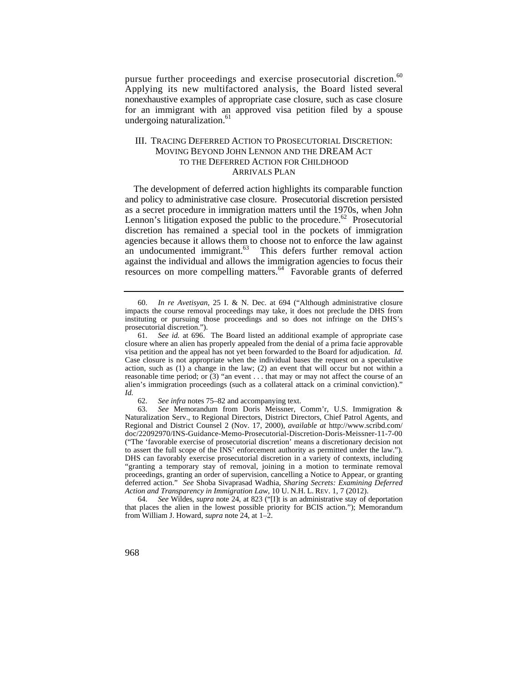pursue further proceedings and exercise prosecutorial [discretion.](https://discretion.60)<sup>60</sup> Applying its new multifactored analysis, the Board listed several nonexhaustive examples of appropriate case closure, such as case closure for an immigrant with an approved visa petition filed by a spouse undergoing naturalization.<sup>61</sup>

# III. TRACING DEFERRED ACTION TO PROSECUTORIAL DISCRETION: MOVING BEYOND JOHN LENNON AND THE DREAM ACT TO THE DEFERRED ACTION FOR CHILDHOOD ARRIVALS PLAN

The development of deferred action highlights its comparable function and policy to administrative case closure. Prosecutorial discretion persisted as a secret procedure in immigration matters until the 1970s, when John Lennon's litigation exposed the public to the [procedure.](https://procedure.62)<sup>62</sup> Prosecutorial discretion has remained a special tool in the pockets of immigration agencies because it allows them to choose not to enforce the law against an undocumented immigrant.<sup>63</sup> This defers further removal action against the individual and allows the immigration agencies to focus their resources on more compelling [matters.](https://matters.64)<sup>64</sup> Favorable grants of deferred

<sup>60.</sup> *In re Avetisyan*, 25 I. & N. Dec. at 694 ("Although administrative closure impacts the course removal proceedings may take, it does not preclude the DHS from instituting or pursuing those proceedings and so does not infringe on the DHS's prosecutorial discretion.").

<sup>61.</sup> *See id.* at 696. The Board listed an additional example of appropriate case closure where an alien has properly appealed from the denial of a prima facie approvable visa petition and the appeal has not yet been forwarded to the Board for adjudication. *Id.*  Case closure is not appropriate when the individual bases the request on a speculative action, such as (1) a change in the law; (2) an event that will occur but not within a reasonable time period; or (3) "an event . . . that may or may not affect the course of an alien's immigration proceedings (such as a collateral attack on a criminal conviction)." *Id.* 

<sup>62.</sup> *See infra* notes 75–82 and accompanying text.

 *Action and Transparency in Immigration Law*, 10 U. N.H. L. REV. 1, 7 (2012). 63. *See* Memorandum from Doris Meissner, Comm'r, U.S. Immigration & Naturalization Serv., to Regional Directors, District Directors, Chief Patrol Agents, and Regional and District Counsel 2 (Nov. 17, 2000), *available at* [http://www.scribd.com/](http://www.scribd.com) doc/22092970/INS-Guidance-Memo-Prosecutorial-Discretion-Doris-Meissner-11-7-00 ("The 'favorable exercise of prosecutorial discretion' means a discretionary decision not to assert the full scope of the INS' enforcement authority as permitted under the law."). DHS can favorably exercise prosecutorial discretion in a variety of contexts, including "granting a temporary stay of removal, joining in a motion to terminate removal proceedings, granting an order of supervision, cancelling a Notice to Appear, or granting deferred action." *See* Shoba Sivaprasad Wadhia, *Sharing Secrets: Examining Deferred*

<sup>64.</sup> *See* Wildes, *supra* note 24, at 823 ("[I]t is an administrative stay of deportation that places the alien in the lowest possible priority for BCIS action."); Memorandum from William J. Howard, *supra* note 24, at 1–2.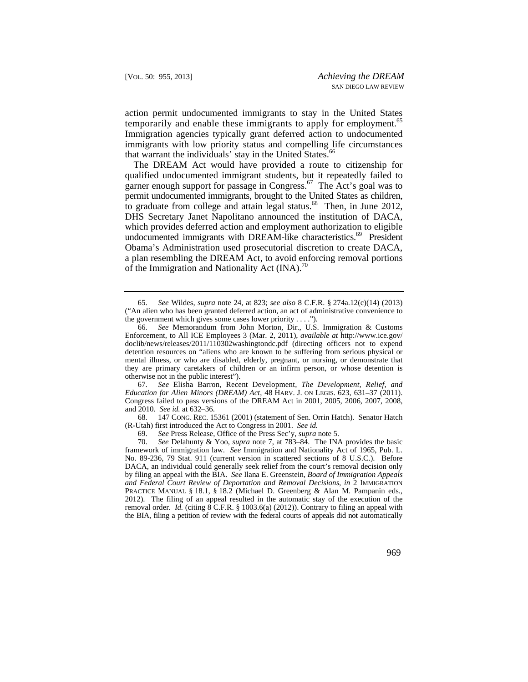action permit undocumented immigrants to stay in the United States temporarily and enable these immigrants to apply for employment.<sup>65</sup> Immigration agencies typically grant deferred action to undocumented immigrants with low priority status and compelling life circumstances that warrant the individuals' stay in the United [States.](https://States.66)<sup>66</sup>

The DREAM Act would have provided a route to citizenship for qualified undocumented immigrant students, but it repeatedly failed to garner enough support for passage in [Congress.](https://Congress.67)<sup>67</sup> The Act's goal was to permit undocumented immigrants, brought to the United States as children, to graduate from college and attain legal [status.](https://status.68) $68$  Then, in June 2012, DHS Secretary Janet Napolitano announced the institution of DACA, which provides deferred action and employment authorization to eligible undocumented immigrants with DREAM-like characteristics.<sup>69</sup> President Obama's Administration used prosecutorial discretion to create DACA, a plan resembling the DREAM Act, to avoid enforcing removal portions of the Immigration and Nationality Act  $(INA)$ .<sup> $0$ </sup>

 *Education for Alien Minors (DREAM) Act*, 48 HARV. J. ON LEGIS. 623, 631–37 (2011). 67. *See* Elisha Barron, Recent Development, *The Development, Relief, and*  Congress failed to pass versions of the DREAM Act in 2001, 2005, 2006, 2007, 2008, and 2010. *See id.* at 632–36.

68. 147 CONG. REC. 15361 (2001) (statement of Sen. Orrin Hatch). Senator Hatch (R-Utah) first introduced the Act to Congress in 2001. *See id.* 

69. *See* Press Release, Office of the Press Sec'y, *supra* note 5.

 by filing an appeal with the BIA. *See* Ilana E. Greenstein, *Board of Immigration Appeals*  removal order. *Id.* (citing 8 C.F.R. § 1003.6(a) (2012)). Contrary to filing an appeal with the BIA, filing a petition of review with the federal courts of appeals did not automatically 70. *See* Delahunty & Yoo, *supra* note 7, at 783–84. The INA provides the basic framework of immigration law. *See* Immigration and Nationality Act of 1965, Pub. L. No. 89-236, 79 Stat. 911 (current version in scattered sections of 8 U.S.C.). Before DACA, an individual could generally seek relief from the court's removal decision only *and Federal Court Review of Deportation and Removal Decisions*, *in* 2 IMMIGRATION PRACTICE MANUAL § 18.1, § 18.2 (Michael D. Greenberg & Alan M. Pampanin eds., 2012). The filing of an appeal resulted in the automatic stay of the execution of the

 the government which gives some cases lower priority . . . ."). 65. *See* Wildes, *supra* note 24, at 823; *see also* 8 C.F.R. § 274a.12(c)(14) (2013) ("An alien who has been granted deferred action, an act of administrative convenience to

<sup>66.</sup> *See* Memorandum from John Morton, Dir., U.S. Immigration & Customs Enforcement, to All ICE Employees 3 (Mar. 2, 2011), *available at* [http://www.ice.gov/](http://www.ice.gov) doclib/news/releases/2011/110302washingtondc.pdf (directing officers not to expend detention resources on "aliens who are known to be suffering from serious physical or mental illness, or who are disabled, elderly, pregnant, or nursing, or demonstrate that they are primary caretakers of children or an infirm person, or whose detention is otherwise not in the public interest").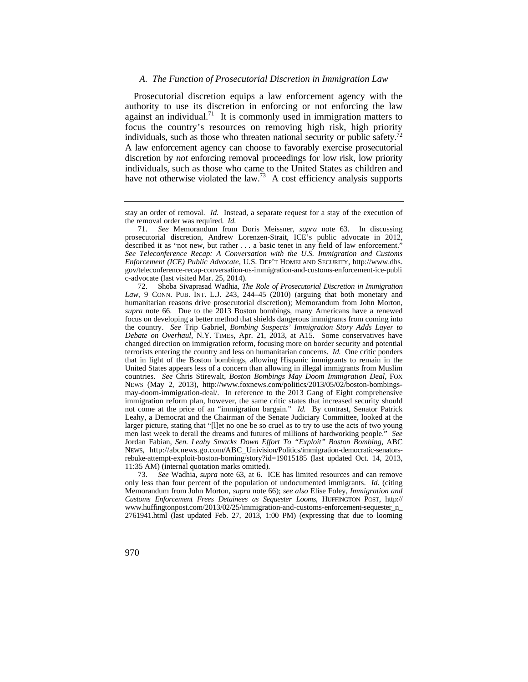#### *A. The Function of Prosecutorial Discretion in Immigration Law*

 discretion by *not* enforcing removal proceedings for low risk, low priority Prosecutorial discretion equips a law enforcement agency with the authority to use its discretion in enforcing or not enforcing the law against an individual.<sup>71</sup> It is commonly used in immigration matters to focus the country's resources on removing high risk, high priority individuals, such as those who threaten national security or public safety.<sup>72</sup> A law enforcement agency can choose to favorably exercise prosecutorial individuals, such as those who came to the United States as children and have not otherwise violated the law.<sup>73</sup> A cost efficiency analysis supports

73. *See* Wadhia, *supra* note 63, at 6. ICE has limited resources and can remove only less than four percent of the population of undocumented immigrants. *Id.* (citing Memorandum from John Morton, *supra* note 66); *see also* Elise Foley, *Immigration and Customs Enforcement Frees Detainees as Sequester Looms*, HUFFINGTON POST, http:// [www.huffingtonpost.com/2013/02/25/immigration-and-customs-enforcement-sequester\\_n\\_](www.huffingtonpost.com/2013/02/25/immigration-and-customs-enforcement-sequester_n) 2761941.html (last updated Feb. 27, 2013, 1:00 PM) (expressing that due to looming

stay an order of removal. *Id.* Instead, a separate request for a stay of the execution of the removal order was required. *Id.* 

<sup>71.</sup> *See* Memorandum from Doris Meissner, *supra* note 63. In discussing prosecutorial discretion, Andrew Lorenzen-Strait, ICE's public advocate in 2012, described it as "not new, but rather . . . a basic tenet in any field of law enforcement." *See Teleconference Recap: A Conversation with the U.S. Immigration and Customs Enforcement (ICE) Public Advocate*, U.S. DEP'T HOMELAND SECURITY, [http://www.dhs.](http://www.dhs) gov/teleconference-recap-conversation-us-immigration-and-customs-enforcement-ice-publi c-advocate (last visited Mar. 25, 2014).

 *Law*, 9 CONN. PUB. INT. L.J. 243, 244–45 (2010) (arguing that both monetary and countries. *See* Chris Stirewalt, *Boston Bombings May Doom Immigration Deal*, FOX 72. Shoba Sivaprasad Wadhia, *The Role of Prosecutorial Discretion in Immigration*  humanitarian reasons drive prosecutorial discretion); Memorandum from John Morton, *supra* note 66. Due to the 2013 Boston bombings, many Americans have a renewed focus on developing a better method that shields dangerous immigrants from coming into the country. *See* Trip Gabriel, *Bombing Suspects' Immigration Story Adds Layer to Debate on Overhaul*, N.Y. TIMES, Apr. 21, 2013, at A15. Some conservatives have changed direction on immigration reform, focusing more on border security and potential terrorists entering the country and less on humanitarian concerns. *Id.* One critic ponders that in light of the Boston bombings, allowing Hispanic immigrants to remain in the United States appears less of a concern than allowing in illegal immigrants from Muslim NEWS (May 2, 2013), <http://www.foxnews.com/politics/2013/05/02/boston-bombings>may-doom-immigration-deal/. In reference to the 2013 Gang of Eight comprehensive immigration reform plan, however, the same critic states that increased security should not come at the price of an "immigration bargain." *Id.* By contrast, Senator Patrick Leahy, a Democrat and the Chairman of the Senate Judiciary Committee, looked at the larger picture, stating that "[l]et no one be so cruel as to try to use the acts of two young men last week to derail the dreams and futures of millions of hardworking people." *See*  Jordan Fabian, *Sen. Leahy Smacks Down Effort To "Exploit" Boston Bombing*, ABC NEWS, [http://abcnews.go.com/ABC\\_Univision/Politics/immigration-democratic-senators](http://abcnews.go.com/ABC_Univision/Politics/immigration-democratic-senators)rebuke-attempt-exploit-boston-boming/story?id=19015185 (last updated Oct. 14, 2013, 11:35 AM) (internal quotation marks omitted).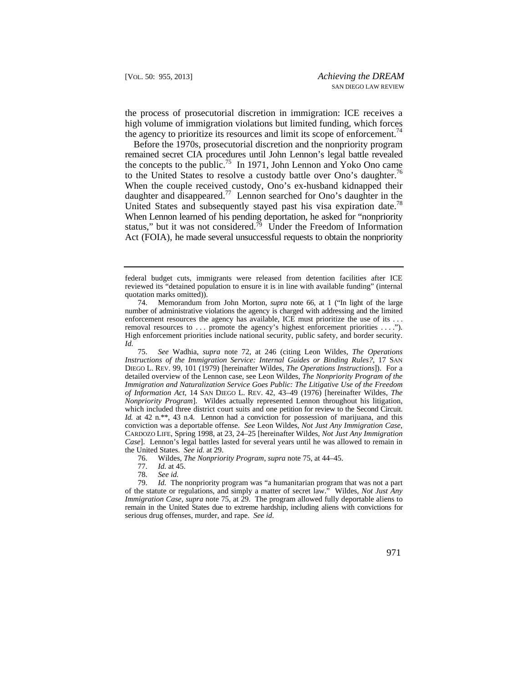the process of prosecutorial discretion in immigration: ICE receives a high volume of immigration violations but limited funding, which forces the agency to prioritize its resources and limit its scope of [enforcement.](https://enforcement.74)<sup>74</sup>

to the United States to resolve a custody battle over Ono's daughter.<sup>76</sup> United States and subsequently stayed past his visa expiration date.<sup>78</sup> When Lennon learned of his pending deportation, he asked for "nonpriority Act (FOIA), he made several unsuccessful requests to obtain the nonpriority Before the 1970s, prosecutorial discretion and the nonpriority program remained secret CIA procedures until John Lennon's legal battle revealed the concepts to the public.<sup>75</sup> In 1971, John Lennon and Yoko Ono came When the couple received custody, Ono's ex-husband kidnapped their daughter and [disappeared.77](https://disappeared.77) Lennon searched for Ono's daughter in the status," but it was not considered.<sup>79</sup> Under the Freedom of Information

78. *See id.* 

federal budget cuts, immigrants were released from detention facilities after ICE reviewed its "detained population to ensure it is in line with available funding" (internal quotation marks omitted)).

enforcement resources the agency has available, ICE must prioritize the use of its ... 74. Memorandum from John Morton, *supra* note 66, at 1 ("In light of the large number of administrative violations the agency is charged with addressing and the limited removal resources to ... promote the agency's highest enforcement priorities .... High enforcement priorities include national security, public safety, and border security. *Id.* 

 *of Information Act*, 14 SAN DIEGO L. REV. 42, 43–49 (1976) [hereinafter Wildes, *The*  which included three district court suits and one petition for review to the Second Circuit. *Id.* at 42 n.\*\*, 43 n.4. Lennon had a conviction for possession of marijuana, and this 75. *See* Wadhia, *supra* note 72, at 246 (citing Leon Wildes, *The Operations Instructions of the Immigration Service: Internal Guides or Binding Rules?*, 17 SAN DIEGO L. REV. 99, 101 (1979) [hereinafter Wildes, *The Operations Instructions*]). For a detailed overview of the Lennon case, see Leon Wildes, *The Nonpriority Program of the Immigration and Naturalization Service Goes Public: The Litigative Use of the Freedom Nonpriority Program*]. Wildes actually represented Lennon throughout his litigation, conviction was a deportable offense. *See* Leon Wildes, *Not Just Any Immigration Case*, CARDOZO LIFE, Spring 1998, at 23, 24–25 [hereinafter Wildes, *Not Just Any Immigration Case*]. Lennon's legal battles lasted for several years until he was allowed to remain in the United States. *See id.* at 29.

<sup>76.</sup> Wildes, *The Nonpriority Program*, *supra* note 75, at 44–45.

<sup>77.</sup> *Id.* at 45.

<sup>79.</sup> *Id.* The nonpriority program was "a humanitarian program that was not a part of the statute or regulations, and simply a matter of secret law." Wildes, *Not Just Any Immigration Case*, *supra* note 75, at 29. The program allowed fully deportable aliens to remain in the United States due to extreme hardship, including aliens with convictions for serious drug offenses, murder, and rape. *See id.*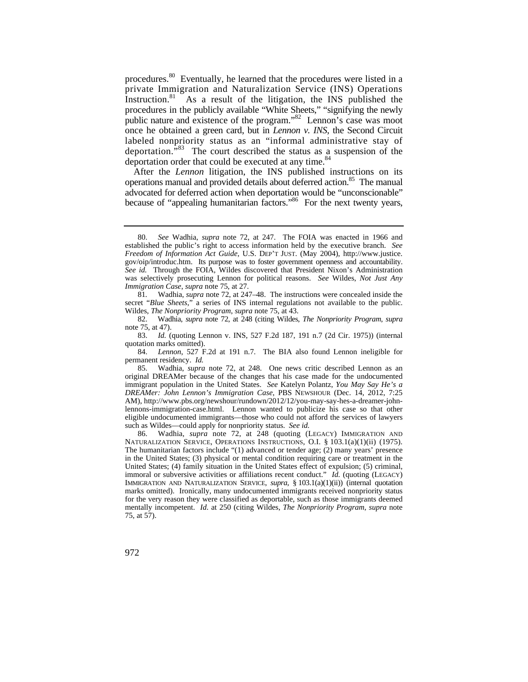[procedures.](https://procedures.80)<sup>80</sup> Eventually, he learned that the procedures were listed in a procedures in the publicly available "White Sheets," "signifying the newly once he obtained a green card, but in *Lennon v. INS*, the Second Circuit private Immigration and Naturalization Service (INS) Operations [Instruction.](https://Instruction.81) $81$  As a result of the litigation, the INS published the public nature and existence of the program."<sup>82</sup> Lennon's case was moot labeled nonpriority status as an "informal administrative stay of deportation.<sup>83</sup> The court described the status as a suspension of the deportation order that could be executed at any time.<sup>84</sup>

After the *Lennon* litigation, the INS published instructions on its operations manual and provided details about deferred action.<sup>85</sup> The manual advocated for deferred action when deportation would be "unconscionable" because of "appealing humanitarian factors."<sup>86</sup> For the next twenty years,

81*.* Wadhia, *supra* note 72, at 247–48. The instructions were concealed inside the secret "*Blue Sheets*," a series of INS internal regulations not available to the public. Wildes, *The Nonpriority Program*, *supra* note 75, at 43.

 82. Wadhia, *supra* note 72, at 248 (citing Wildes, *The Nonpriority Program*, *supra* note 75, at 47).

 permanent residency. *Id.*  84. *Lennon*, 527 F.2d at 191 n.7. The BIA also found Lennon ineligible for

85. Wadhia, *supra* note 72, at 248. One news critic described Lennon as an original DREAMer because of the changes that his case made for the undocumented immigrant population in the United States. *See* Katelyn Polantz, *You May Say He's a DREAMer: John Lennon's Immigration Case*, PBS NEWSHOUR (Dec. 14, 2012, 7:25 AM),<http://www.pbs.org/newshour/rundown/2012/12/you-may-say-hes-a-dreamer-john>lennons-immigration-case.html. Lennon wanted to publicize his case so that other eligible undocumented immigrants—those who could not afford the services of lawyers such as Wildes—could apply for nonpriority status. *See id.* 

 86. Wadhia, *supra* note 72, at 248 (quoting (LEGACY) IMMIGRATION AND NATURALIZATION SERVICE, OPERATIONS INSTRUCTIONS, O.I. § 103.1(a)(1)(ii) (1975). The humanitarian factors include "(1) advanced or tender age; (2) many years' presence in the United States; (3) physical or mental condition requiring care or treatment in the United States; (4) family situation in the United States effect of expulsion; (5) criminal, immoral or subversive activities or affiliations recent conduct." *Id.* (quoting (LEGACY) IMMIGRATION AND NATURALIZATION SERVICE, *supra*, § 103.1(a)(1)(ii)) (internal quotation marks omitted). Ironically, many undocumented immigrants received nonpriority status for the very reason they were classified as deportable, such as those immigrants deemed mentally incompetent. *Id.* at 250 (citing Wildes, *The Nonpriority Program*, *supra* note 75, at 57).

 established the public's right to access information held by the executive branch. *See*  gov/oip/introduc.htm. Its purpose was to foster government openness and accountability. 80. *See* Wadhia, *supra* note 72, at 247. The FOIA was enacted in 1966 and *Freedom of Information Act Guide*, U.S. DEP'T JUST. (May 2004), [http://www.justice.](http://www.justice) *See id.* Through the FOIA, Wildes discovered that President Nixon's Administration was selectively prosecuting Lennon for political reasons. *See* Wildes, *Not Just Any Immigration Case*, *supra* note 75, at 27.

<sup>83.</sup> *Id.* (quoting Lennon v. INS, 527 F.2d 187, 191 n.7 (2d Cir. 1975)) (internal quotation marks omitted).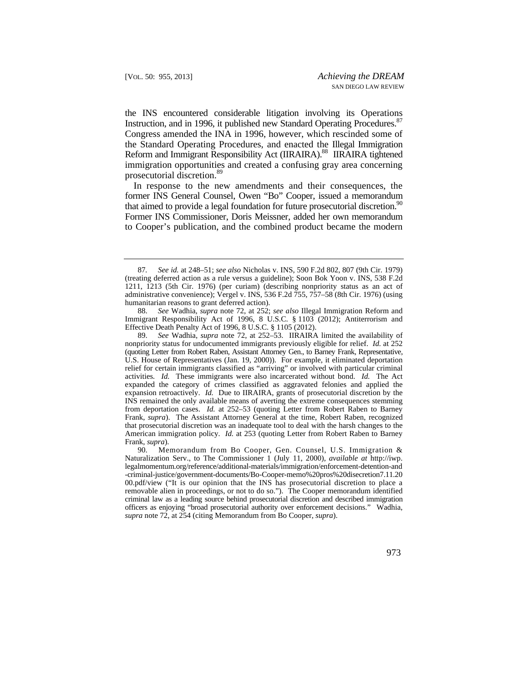the INS encountered considerable litigation involving its Operations the Standard Operating Procedures, and enacted the Illegal Immigration Reform and Immigrant Responsibility Act (IIRAIRA).<sup>88</sup> IIRAIRA tightened Instruction, and in 1996, it published new Standard Operating Procedures.<sup>87</sup> Congress amended the INA in 1996, however, which rescinded some of immigration opportunities and created a confusing gray area concerning prosecutorial discretion.<sup>89</sup>

that aimed to provide a legal foundation for future prosecutorial discretion.<sup>90</sup> In response to the new amendments and their consequences, the former INS General Counsel, Owen "Bo" Cooper, issued a memorandum Former INS Commissioner, Doris Meissner, added her own memorandum to Cooper's publication, and the combined product became the modern

 87*. See id.* at 248–51; *see also* Nicholas v. INS, 590 F.2d 802, 807 (9th Cir. 1979) (treating deferred action as a rule versus a guideline); Soon Bok Yoon v. INS, 538 F.2d 1211, 1213 (5th Cir. 1976) (per curiam) (describing nonpriority status as an act of administrative convenience); Vergel v. INS, 536 F.2d 755, 757–58 (8th Cir. 1976) (using humanitarian reasons to grant deferred action).

<sup>88.</sup> *See* Wadhia, *supra* note 72, at 252; *see also* Illegal Immigration Reform and Immigrant Responsibility Act of 1996, 8 U.S.C. § 1103 (2012); Antiterrorism and Effective Death Penalty Act of 1996, 8 U.S.C. § 1105 (2012).

 U.S. House of Representatives (Jan. 19, 2000)). For example, it eliminated deportation expansion retroactively. *Id.* Due to IIRAIRA, grants of prosecutorial discretion by the 89. *See* Wadhia, *supra* note 72, at 252–53. IIRAIRA limited the availability of nonpriority status for undocumented immigrants previously eligible for relief. *Id.* at 252 (quoting Letter from Robert Raben, Assistant Attorney Gen., to Barney Frank, Representative, relief for certain immigrants classified as "arriving" or involved with particular criminal activities*. Id.* These immigrants were also incarcerated without bond. *Id.* The Act expanded the category of crimes classified as aggravated felonies and applied the INS remained the only available means of averting the extreme consequences stemming from deportation cases. *Id.* at 252–53 (quoting Letter from Robert Raben to Barney Frank, *supra*). The Assistant Attorney General at the time, Robert Raben, recognized that prosecutorial discretion was an inadequate tool to deal with the harsh changes to the American immigration policy*. Id.* at 253 (quoting Letter from Robert Raben to Barney Frank, *supra*).

 officers as enjoying "broad prosecutorial authority over enforcement decisions." Wadhia, Memorandum from Bo Cooper, Gen. Counsel, U.S. Immigration & Naturalization Serv., to The Commissioner 1 (July 11, 2000), *available at* [http://iwp.](http://iwp) [legalmomentum.org/reference/additional-materials/immigration/enforcement-detention-and](https://legalmomentum.org/reference/additional-materials/immigration/enforcement-detention-and)  [-criminal-justice/government-documents/Bo-Cooper-memo%20pros%20disecretion7.11.20](https://criminal-justice/government-documents/Bo-Cooper-memo%20pros%20disecretion7.11.20)  00.pdf/view ("It is our opinion that the INS has prosecutorial discretion to place a removable alien in proceedings, or not to do so."). The Cooper memorandum identified criminal law as a leading source behind prosecutorial discretion and described immigration *supra* note 72, at 254 (citing Memorandum from Bo Cooper, *supra*).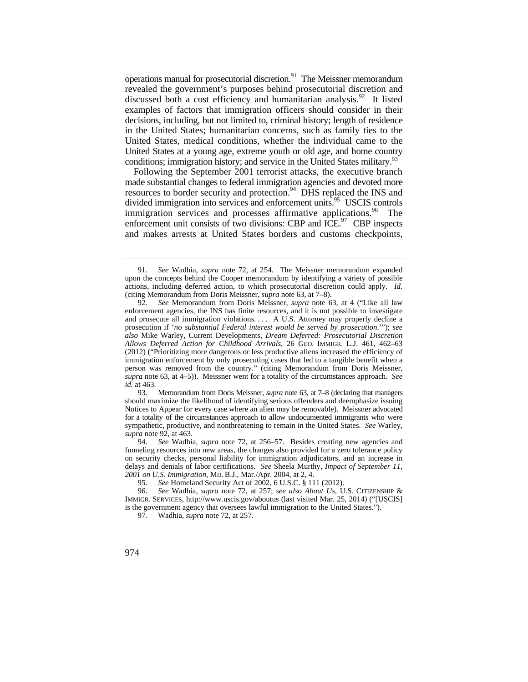decisions, including, but not limited to, criminal history; length of residence operations manual for prosecutorial discretion.<sup>91</sup> The Meissner memorandum revealed the government's purposes behind prosecutorial discretion and discussed both a cost efficiency and humanitarian analysis.<sup>92</sup> It listed examples of factors that immigration officers should consider in their in the United States; humanitarian concerns, such as family ties to the United States, medical conditions, whether the individual came to the United States at a young age, extreme youth or old age, and home country conditions; immigration history; and service in the United States military.<sup>93</sup>

Following the September 2001 terrorist attacks, the executive branch made substantial changes to federal immigration agencies and devoted more resources to border security and protection.<sup>94</sup> DHS replaced the INS and divided immigration into services and enforcement units.<sup>95</sup> USCIS controls immigration services and processes affirmative [applications.](https://applications.96)<sup>96</sup> The enforcement unit consists of two divisions: CBP and  $\widehat{\text{ICE}}^{97}$  CBP inspects and makes arrests at United States borders and customs checkpoints,

 actions, including deferred action, to which prosecutorial discretion could apply. *Id.*  91. *See* Wadhia, *supra* note 72, at 254. The Meissner memorandum expanded upon the concepts behind the Cooper memorandum by identifying a variety of possible (citing Memorandum from Doris Meissner, *supra* note 63, at 7–8).

 *Allows Deferred Action for Childhood Arrivals*, 26 GEO. IMMIGR. L.J. 461, 462–63 92. *See* Memorandum from Doris Meissner, *supra* note 63, at 4 ("Like all law enforcement agencies, the INS has finite resources, and it is not possible to investigate and prosecute all immigration violations. . . . A U.S. Attorney may properly decline a prosecution if '*no substantial Federal interest would be served by prosecution*.'"); *see also* Mike Warley, Current Developments, *Dream Deferred: Prosecutorial Discretion*  (2012) ("Prioritizing more dangerous or less productive aliens increased the efficiency of immigration enforcement by only prosecuting cases that led to a tangible benefit when a person was removed from the country." (citing Memorandum from Doris Meissner, *supra* note 63, at 4–5)). Meissner went for a totality of the circumstances approach. *See id.* at 463.

 for a totality of the circumstances approach to allow undocumented immigrants who were 93. Memorandum from Doris Meissner, *supra* note 63, at 7–8 (declaring that managers should maximize the likelihood of identifying serious offenders and deemphasize issuing Notices to Appear for every case where an alien may be removable). Meissner advocated sympathetic, productive, and nonthreatening to remain in the United States. *See* Warley, *supra* note 92, at 463.

<sup>94.</sup> *See* Wadhia, *supra* note 72, at 256–57. Besides creating new agencies and funneling resources into new areas, the changes also provided for a zero tolerance policy on security checks, personal liability for immigration adjudicators, and an increase in delays and denials of labor certifications. *See* Sheela Murthy, *Impact of September 11,* 

*<sup>2001</sup> on U.S. Immigration*, MD. B.J., Mar./Apr. 2004, at 2, 4. See Homeland Security Act of 2002, 6 U.S.C. § 111 (2012).

<sup>96.</sup> *See* Wadhia, *supra* note 72, at 257; *see also About Us*, U.S. CITIZENSHIP & IMMIGR. SERVICES, <http://www.uscis.gov/aboutus>(last visited Mar. 25, 2014) ("[USCIS] is the government agency that oversees lawful immigration to the United States.").

<sup>97</sup>*.* Wadhia, *supra* note 72, at 257.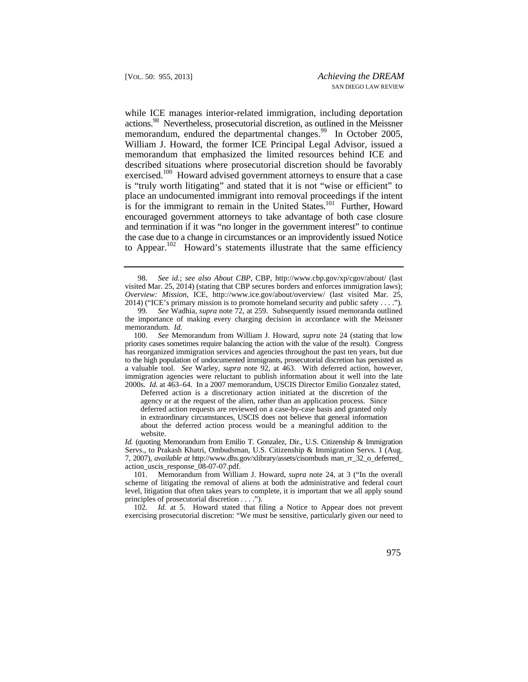the case due to a change in circumstances or an improvidently issued Notice to Appear.<sup>102</sup> Howard's statements illustrate that the same efficiency while ICE manages interior-related immigration, including deportation [actions.98](https://actions.98) Nevertheless, prosecutorial discretion, as outlined in the Meissner memorandum, endured the departmental [changes.](https://changes.99)<sup>99</sup> In October 2005, William J. Howard, the former ICE Principal Legal Advisor, issued a memorandum that emphasized the limited resources behind ICE and described situations where prosecutorial discretion should be favorably exercised.<sup>100</sup> Howard advised government attorneys to ensure that a case is "truly worth litigating" and stated that it is not "wise or efficient" to place an undocumented immigrant into removal proceedings if the intent is for the immigrant to remain in the United States.<sup>101</sup> Further, Howard encouraged government attorneys to take advantage of both case closure and termination if it was "no longer in the government interest" to continue

Deferred action is a discretionary action initiated at the discretion of the agency or at the request of the alien, rather than an application process. Since deferred action requests are reviewed on a case-by-case basis and granted only in extraordinary circumstances, USCIS does not believe that general information about the deferred action process would be a meaningful addition to the website.

*Id.* (quoting Memorandum from Emilio T. Gonzalez, Dir., U.S. Citizenship & Immigration Servs., to Prakash Khatri, Ombudsman, U.S. Citizenship & Immigration Servs. 1 (Aug. 7, 2007), *available at* <http://www.dhs.gov/xlibrary/assets/cisombuds> man\_rr\_32\_o\_deferred\_ action\_uscis\_response\_08-07-07.pdf.

 level, litigation that often takes years to complete, it is important that we all apply sound 101. Memorandum from William J. Howard, *supra* note 24, at 3 ("In the overall scheme of litigating the removal of aliens at both the administrative and federal court principles of prosecutorial discretion . . . .").

102. *Id.* at 5. Howard stated that filing a Notice to Appear does not prevent exercising prosecutorial discretion: "We must be sensitive, particularly given our need to

<sup>98.</sup> *See id.*; *see also About CBP*, CBP, <http://www.cbp.gov/xp/cgov/about>/ (last visited Mar. 25, 2014) (stating that CBP secures borders and enforces immigration laws); *Overview: Mission*, ICE, [http://www.ice.gov/about/overview/](http://www.ice.gov/about/overview) (last visited Mar. 25, 2014) ("ICE's primary mission is to promote homeland security and public safety . . . .").

<sup>99.</sup> *See* Wadhia, *supra* note 72, at 259. Subsequently issued memoranda outlined the importance of making every charging decision in accordance with the Meissner memorandum. *Id.*

 to the high population of undocumented immigrants, prosecutorial discretion has persisted as a valuable tool. *See* Warley, *supra* note 92, at 463. With deferred action, however, 100. *See* Memorandum from William J. Howard, *supra* note 24 (stating that low priority cases sometimes require balancing the action with the value of the result). Congress has reorganized immigration services and agencies throughout the past ten years, but due immigration agencies were reluctant to publish information about it well into the late 2000s. *Id.* at 463–64. In a 2007 memorandum, USCIS Director Emilio Gonzalez stated,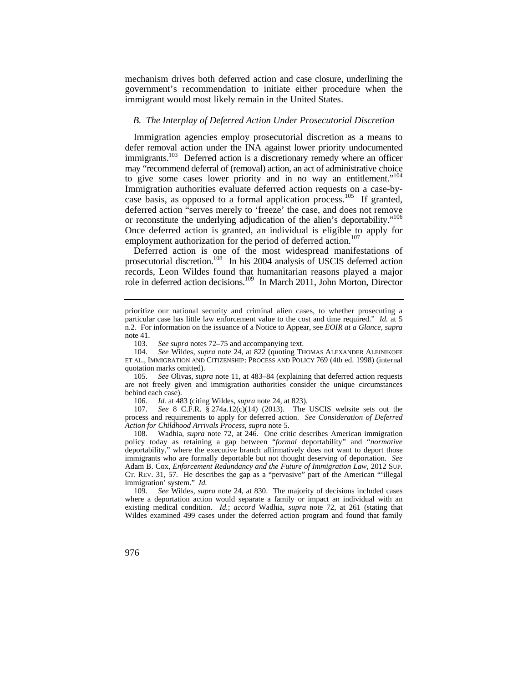mechanism drives both deferred action and case closure, underlining the government's recommendation to initiate either procedure when the immigrant would most likely remain in the United States.

#### *B. The Interplay of Deferred Action Under Prosecutorial Discretion*

immigrants.<sup>103</sup> Deferred action is a discretionary remedy where an officer to give some cases lower priority and in no way an entitlement."<sup>104</sup> or reconstitute the underlying adjudication of the alien's deportability."<sup>106</sup> Immigration agencies employ prosecutorial discretion as a means to defer removal action under the INA against lower priority undocumented may "recommend deferral of (removal) action, an act of administrative choice Immigration authorities evaluate deferred action requests on a case-bycase basis, as opposed to a formal application process.<sup>105</sup> If granted, deferred action "serves merely to 'freeze' the case, and does not remove Once deferred action is granted, an individual is eligible to apply for employment authorization for the period of deferred action.<sup>107</sup>

Deferred action is one of the most widespread manifestations of prosecutorial discretion.<sup>108</sup> In his 2004 analysis of USCIS deferred action records, Leon Wildes found that humanitarian reasons played a major role in deferred action decisions.<sup>109</sup> In March 2011, John Morton, Director

106. *Id.* at 483 (citing Wildes, *supra* note 24, at 823).

 process and requirements to apply for deferred action. *See Consideration of Deferred*  107. *See* 8 C.F.R. § 274a.12(c)(14) (2013). The USCIS website sets out the *Action for Childhood Arrivals Process*, *supra* note 5.

108. Wadhia, *supra* note 72, at 246. One critic describes American immigration policy today as retaining a gap between "*formal* deportability" and "*normative*  deportability," where the executive branch affirmatively does not want to deport those immigrants who are formally deportable but not thought deserving of deportation. *See*  Adam B. Cox, *Enforcement Redundancy and the Future of Immigration Law*, 2012 SUP. CT. REV. 31, 57. He describes the gap as a "pervasive" part of the American "'illegal immigration' system." *Id.*

 109. *See* Wildes, *supra* note 24, at 830. The majority of decisions included cases where a deportation action would separate a family or impact an individual with an existing medical condition. *Id.*; *accord* Wadhia, *supra* note 72, at 261 (stating that Wildes examined 499 cases under the deferred action program and found that family

prioritize our national security and criminal alien cases, to whether prosecuting a particular case has little law enforcement value to the cost and time required." *Id.* at 5 n.2. For information on the issuance of a Notice to Appear, see *EOIR at a Glance*, *supra* note 41.

<sup>103.</sup> *See supra* notes 72–75 and accompanying text.

<sup>104.</sup> *See* Wildes, *supra* note 24, at 822 (quoting THOMAS ALEXANDER ALEINIKOFF ET AL., IMMIGRATION AND CITIZENSHIP: PROCESS AND POLICY 769 (4th ed. 1998) (internal quotation marks omitted).

<sup>105.</sup> *See* Olivas, *supra* note 11, at 483–84 (explaining that deferred action requests are not freely given and immigration authorities consider the unique circumstances behind each case).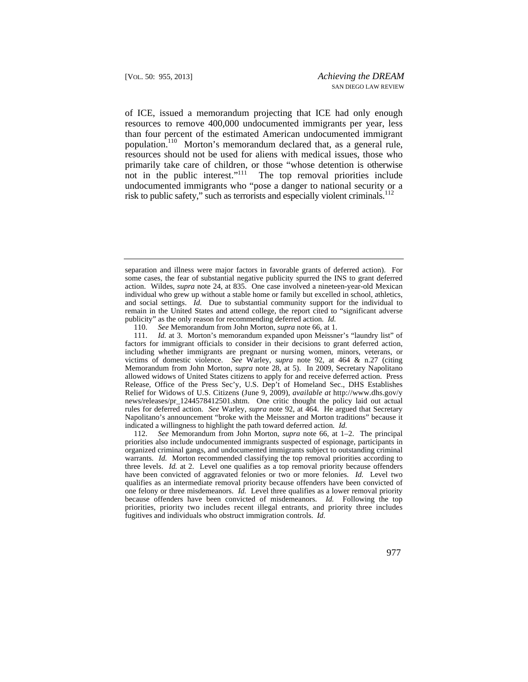of ICE, issued a memorandum projecting that ICE had only enough population.<sup>110</sup> Morton's memorandum declared that, as a general rule, resources to remove 400,000 undocumented immigrants per year, less than four percent of the estimated American undocumented immigrant resources should not be used for aliens with medical issues, those who primarily take care of children, or those "whose detention is otherwise not in the public interest."<sup>111</sup> The top removal priorities include undocumented immigrants who "pose a danger to national security or a risk to public safety," such as terrorists and especially violent criminals. $^{112}$ 

 warrants. *Id.* Morton recommended classifying the top removal priorities according to three levels. *Id.* at 2. Level one qualifies as a top removal priority because offenders 112. *See* Memorandum from John Morton, *supra* note 66, at 1–2. The principal priorities also include undocumented immigrants suspected of espionage, participants in organized criminal gangs, and undocumented immigrants subject to outstanding criminal have been convicted of aggravated felonies or two or more felonies. *Id.* Level two qualifies as an intermediate removal priority because offenders have been convicted of one felony or three misdemeanors. *Id.* Level three qualifies as a lower removal priority because offenders have been convicted of misdemeanors. *Id.* Following the top priorities, priority two includes recent illegal entrants, and priority three includes fugitives and individuals who obstruct immigration controls. *Id.* 

 publicity" as the only reason for recommending deferred action. *Id.* separation and illness were major factors in favorable grants of deferred action). For some cases, the fear of substantial negative publicity spurred the INS to grant deferred action. Wildes, *supra* note 24, at 835. One case involved a nineteen-year-old Mexican individual who grew up without a stable home or family but excelled in school, athletics, and social settings. *Id.* Due to substantial community support for the individual to remain in the United States and attend college, the report cited to "significant adverse

 <sup>110.</sup> *See* Memorandum from John Morton, *supra* note 66, at 1.

Id. at 3. Morton's memorandum expanded upon Meissner's "laundry list" of factors for immigrant officials to consider in their decisions to grant deferred action, including whether immigrants are pregnant or nursing women, minors, veterans, or victims of domestic violence. *See* Warley, *supra* note 92, at 464 & n.27 (citing Memorandum from John Morton, *supra* note 28, at 5). In 2009, Secretary Napolitano allowed widows of United States citizens to apply for and receive deferred action. Press Release, Office of the Press Sec'y, U.S. Dep't of Homeland Sec., DHS Establishes Relief for Widows of U.S. Citizens (June 9, 2009), *available at* <http://www.dhs.gov/y> news/releases/pr\_1244578412501.shtm. One critic thought the policy laid out actual rules for deferred action. *See* Warley, *supra* note 92, at 464. He argued that Secretary Napolitano's announcement "broke with the Meissner and Morton traditions" because it indicated a willingness to highlight the path toward deferred action*. Id.*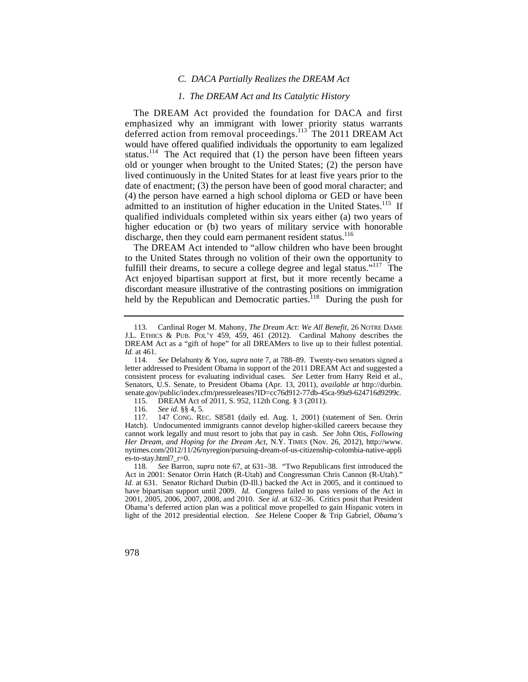#### *C. DACA Partially Realizes the DREAM Act*

#### *1. The DREAM Act and Its Catalytic History*

The DREAM Act provided the foundation for DACA and first emphasized why an immigrant with lower priority status warrants deferred action from removal proceedings.<sup>113</sup> The 2011 DREAM Act would have offered qualified individuals the opportunity to earn legalized status.<sup>114</sup> The Act required that  $(1)$  the person have been fifteen years old or younger when brought to the United States; (2) the person have lived continuously in the United States for at least five years prior to the date of enactment; (3) the person have been of good moral character; and (4) the person have earned a high school diploma or GED or have been admitted to an institution of higher education in the United States.<sup>115</sup> If qualified individuals completed within six years either (a) two years of higher education or (b) two years of military service with honorable discharge, then they could earn permanent resident status.<sup>116</sup>

held by the Republican and Democratic parties.<sup>118</sup> During the push for The DREAM Act intended to "allow children who have been brought to the United States through no volition of their own the opportunity to fulfill their dreams, to secure a college degree and legal status."<sup>117</sup> The Act enjoyed bipartisan support at first, but it more recently became a discordant measure illustrative of the contrasting positions on immigration

115. DREAM Act of 2011, S. 952, 112th Cong. § 3 (2011).

116. *See id.* §§ 4, 5.

117. 147 CONG. REC. S8581 (daily ed. Aug. 1, 2001) (statement of Sen. Orrin Hatch). Undocumented immigrants cannot develop higher-skilled careers because they cannot work legally and must resort to jobs that pay in cash. *See* John Otis, *Following Her Dream, and Hoping for the Dream Act*, N.Y. TIMES (Nov. 26, 2012), [http://www.](http://www) [nytimes.com/2012/11/26/nyregion/pursuing-dream-of-us-citizenship-colombia-native-appli](https://nytimes.com/2012/11/26/nyregion/pursuing-dream-of-us-citizenship-colombia-native-appli) es-to-stay.html?\_r=0.

 J.L. ETHICS & PUB. POL'Y 459, 459, 461 (2012). Cardinal Mahony describes the 113. Cardinal Roger M. Mahony, *The Dream Act: We All Benefit*, 26 NOTRE DAME DREAM Act as a "gift of hope" for all DREAMers to live up to their fullest potential. *Id.* at 461.

<sup>114</sup>*. See* Delahunty & Yoo, *supra* note 7, at 788–89. Twenty-two senators signed a letter addressed to President Obama in support of the 2011 DREAM Act and suggested a consistent process for evaluating individual cases. *See* Letter from Harry Reid et al., Senators, U.S. Senate, to President Obama (Apr. 13, 2011), *available at* [http://durbin.](http://durbin) senate.gov/public/index.cfm/pressreleases?ID=cc76d912-77db-45ca-99a9-624716d9299c.

<sup>118.</sup> *See* Barron, *supra* note 67, at 631–38. "Two Republicans first introduced the Act in 2001: Senator Orrin Hatch (R-Utah) and Congressman Chris Cannon (R-Utah)." *Id.* at 631. Senator Richard Durbin (D-Ill.) backed the Act in 2005, and it continued to have bipartisan support until 2009. *Id.* Congress failed to pass versions of the Act in 2001, 2005, 2006, 2007, 2008, and 2010. *See id.* at 632–36. Critics posit that President Obama's deferred action plan was a political move propelled to gain Hispanic voters in light of the 2012 presidential election. *See* Helene Cooper & Trip Gabriel, *Obama's*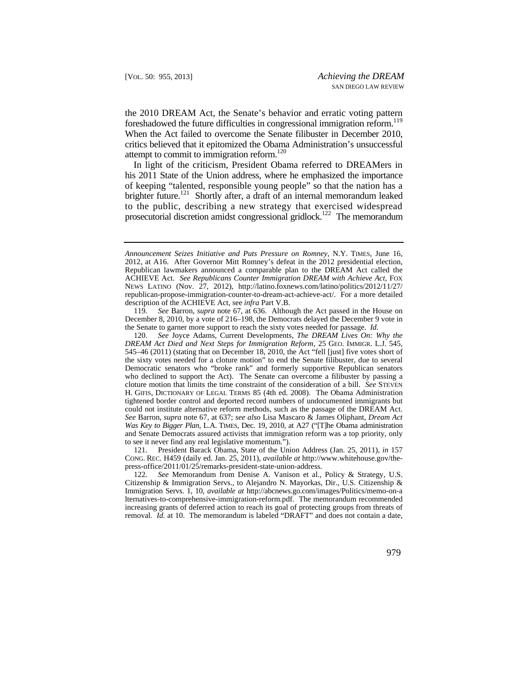foreshadowed the future difficulties in congressional immigration reform.<sup>119</sup> the 2010 DREAM Act, the Senate's behavior and erratic voting pattern When the Act failed to overcome the Senate filibuster in December 2010, critics believed that it epitomized the Obama Administration's unsuccessful attempt to commit to immigration reform.<sup>120</sup>

In light of the criticism, President Obama referred to DREAMers in his 2011 State of the Union address, where he emphasized the importance of keeping "talented, responsible young people" so that the nation has a brighter future.<sup>121</sup> Shortly after, a draft of an internal memorandum leaked to the public, describing a new strategy that exercised widespread prosecutorial discretion amidst congressional gridlock.<sup>122</sup> The memorandum

121. President Barack Obama, State of the Union Address (Jan. 25, 2011), *in* 157 CONG. REC. H459 (daily ed. Jan. 25, 2011), *available at* <http://www.whitehouse.gov/the>press-office/2011/01/25/remarks-president-state-union-address.

122. *See* Memorandum from Denise A. Vanison et al., Policy & Strategy, U.S. Citizenship & Immigration Servs., to Alejandro N. Mayorkas, Dir., U.S. Citizenship & Immigration Servs. 1, 10, *available at* <http://abcnews.go.com/images/Politics/memo-on-a> lternatives-to-comprehensive-immigration-reform.pdf. The memorandum recommended increasing grants of deferred action to reach its goal of protecting groups from threats of removal. *Id.* at 10. The memorandum is labeled "DRAFT" and does not contain a date,

 ACHIEVE Act. *See Republicans Counter Immigration DREAM with Achieve Act*, FOX *Announcement Seizes Initiative and Puts Pressure on Romney*, N.Y. TIMES, June 16, 2012, at A16. After Governor Mitt Romney's defeat in the 2012 presidential election, Republican lawmakers announced a comparable plan to the DREAM Act called the NEWS LATINO (Nov. 27, 2012), [http://latino.foxnews.com/latino/politics/2012/11/27/](http://latino.foxnews.com/latino/politics/2012/11/27) republican-propose-immigration-counter-to-dream-act-achieve-act/. For a more detailed description of the ACHIEVE Act, see *infra* Part V.B.

<sup>119</sup>*. See* Barron, *supra* note 67, at 636. Although the Act passed in the House on December 8, 2010, by a vote of 216–198, the Democrats delayed the December 9 vote in the Senate to garner more support to reach the sixty votes needed for passage. *Id.*

 *DREAM Act Died and Next Steps for Immigration Reform*, 25 GEO. IMMIGR. L.J. 545, cloture motion that limits the time constraint of the consideration of a bill. *See* STEVEN H. GIFIS, DICTIONARY OF LEGAL TERMS 85 (4th ed. 2008). The Obama Administration could not institute alternative reform methods, such as the passage of the DREAM Act. 120. *See* Joyce Adams, Current Developments, *The DREAM Lives On: Why the* 545–46 (2011) (stating that on December 18, 2010, the Act "fell [just] five votes short of the sixty votes needed for a cloture motion" to end the Senate filibuster, due to several Democratic senators who "broke rank" and formerly supportive Republican senators who declined to support the Act). The Senate can overcome a filibuster by passing a tightened border control and deported record numbers of undocumented immigrants but *See* Barron, *supra* note 67, at 637; *see also* Lisa Mascaro & James Oliphant, *Dream Act Was Key to Bigger Plan*, L.A. TIMES, Dec. 19, 2010, at A27 ("[T]he Obama administration and Senate Democrats assured activists that immigration reform was a top priority, only to see it never find any real legislative momentum.").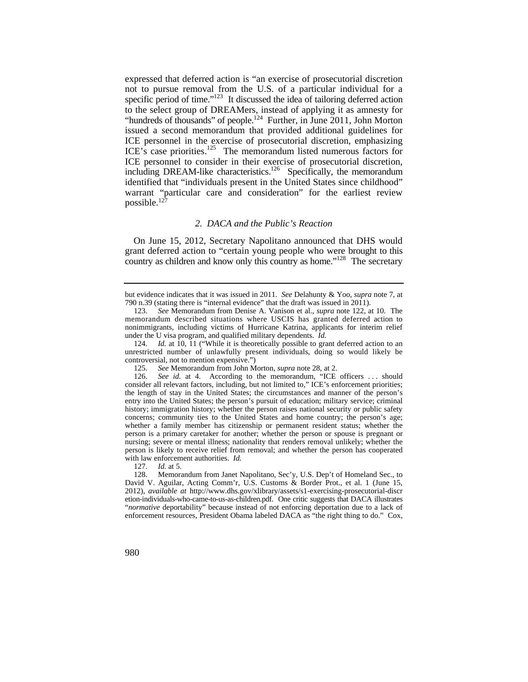"hundreds of thousands" of people.<sup>124</sup> Further, in June 2011, John Morton expressed that deferred action is "an exercise of prosecutorial discretion not to pursue removal from the U.S. of a particular individual for a specific period of time."<sup>123</sup> It discussed the idea of tailoring deferred action to the select group of DREAMers, instead of applying it as amnesty for issued a second memorandum that provided additional guidelines for ICE personnel in the exercise of prosecutorial discretion, emphasizing ICE's case priorities.<sup>125</sup> The memorandum listed numerous factors for ICE personnel to consider in their exercise of prosecutorial discretion, including DREAM-like characteristics.<sup>126</sup> Specifically, the memorandum identified that "individuals present in the United States since childhood" warrant "particular care and consideration" for the earliest review possible.127

#### *2. DACA and the Public's Reaction*

 grant deferred action to "certain young people who were brought to this On June 15, 2012, Secretary Napolitano announced that DHS would country as children and know only this country as home."<sup>128</sup> The secretary

127. *Id.* at 5.

128. Memorandum from Janet Napolitano, Sec'y, U.S. Dep't of Homeland Sec., to David V. Aguilar, Acting Comm'r, U.S. Customs & Border Prot., et al. 1 (June 15, 2012), *available at* <http://www.dhs.gov/xlibrary/assets/s1-exercising-prosecutorial-discr> etion-individuals-who-came-to-us-as-children.pdf. One critic suggests that DACA illustrates "*normative* deportability" because instead of not enforcing deportation due to a lack of enforcement resources, President Obama labeled DACA as "the right thing to do." Cox,

but evidence indicates that it was issued in 2011. *See* Delahunty & Yoo, *supra* note 7, at 790 n.39 (stating there is "internal evidence" that the draft was issued in 2011).

 memorandum described situations where USCIS has granted deferred action to 123. *See* Memorandum from Denise A. Vanison et al., *supra* note 122, at 10. The nonimmigrants, including victims of Hurricane Katrina, applicants for interim relief under the U visa program, and qualified military dependents. *Id.*

 unrestricted number of unlawfully present individuals, doing so would likely be 124. *Id.* at 10, 11 ("While it is theoretically possible to grant deferred action to an controversial, not to mention expensive.")

<sup>125.</sup> *See* Memorandum from John Morton, *supra* note 28, at 2.

 with law enforcement authorities. *Id.* 126. *See id.* at 4. According to the memorandum, "ICE officers ... should consider all relevant factors, including, but not limited to," ICE's enforcement priorities; the length of stay in the United States; the circumstances and manner of the person's entry into the United States; the person's pursuit of education; military service; criminal history; immigration history; whether the person raises national security or public safety concerns; community ties to the United States and home country; the person's age; whether a family member has citizenship or permanent resident status; whether the person is a primary caretaker for another; whether the person or spouse is pregnant or nursing; severe or mental illness; nationality that renders removal unlikely; whether the person is likely to receive relief from removal; and whether the person has cooperated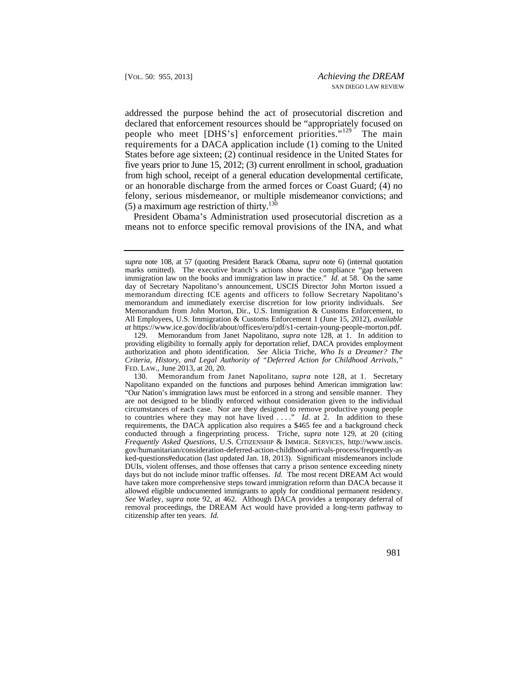felony, serious misdemeanor, or multiple misdemeanor convictions; and addressed the purpose behind the act of prosecutorial discretion and declared that enforcement resources should be "appropriately focused on people who meet [DHS's] enforcement priorities."<sup>129</sup> The main requirements for a DACA application include (1) coming to the United States before age sixteen; (2) continual residence in the United States for five years prior to June 15, 2012; (3) current enrollment in school, graduation from high school, receipt of a general education developmental certificate, or an honorable discharge from the armed forces or Coast Guard; (4) no  $(5)$  a maximum age restriction of thirty.<sup>130</sup>

President Obama's Administration used prosecutorial discretion as a means not to enforce specific removal provisions of the INA, and what

immigration law on the books and immigration law in practice."  $\overline{Id}$  at 58. On the same memorandum and immediately exercise discretion for low priority individuals. *See supra* note 108, at 57 (quoting President Barack Obama, *supra* note 6) (internal quotation marks omitted). The executive branch's actions show the compliance "gap between day of Secretary Napolitano's announcement, USCIS Director John Morton issued a memorandum directing ICE agents and officers to follow Secretary Napolitano's Memorandum from John Morton, Dir., U.S. Immigration & Customs Enforcement, to All Employees, U.S. Immigration & Customs Enforcement 1 (June 15, 2012), *available at* [https://www.ice.gov/doclib/about/offices/ero/pdf/s1-certain-young-people-morton.pdf.](https://www.ice.gov/doclib/about/offices/ero/pdf/s1-certain-young-people-morton.pdf)

<sup>129.</sup> Memorandum from Janet Napolitano, *supra* note 128, at 1. In addition to providing eligibility to formally apply for deportation relief, DACA provides employment authorization and photo identification. *See* Alicia Triche, *Who Is a Dreamer? The Criteria, History, and Legal Authority of "Deferred Action for Childhood Arrivals*,*"*  FED. LAW., June 2013, at 20, 20.

 "Our Nation's immigration laws must be enforced in a strong and sensible manner. They to countries where they may not have lived . . . ." *Id.* at 2. In addition to these *Frequently Asked Questions*, U.S. CITIZENSHIP & IMMIGR. SERVICES, [http://www.uscis.](http://www.uscis) citizenship after ten years. *Id.*  130. Memorandum from Janet Napolitano, *supra* note 128, at 1. Secretary Napolitano expanded on the functions and purposes behind American immigration law: are not designed to be blindly enforced without consideration given to the individual circumstances of each case. Nor are they designed to remove productive young people requirements, the DACA application also requires a \$465 fee and a background check conducted through a fingerprinting process. Triche, *supra* note 129, at 20 (citing gov/humanitarian/consideration-deferred-action-childhood-arrivals-process/frequently-as ked-questions#education (last updated Jan. 18, 2013). Significant misdemeanors include DUIs, violent offenses, and those offenses that carry a prison sentence exceeding ninety days but do not include minor traffic offenses. *Id.* The most recent DREAM Act would have taken more comprehensive steps toward immigration reform than DACA because it allowed eligible undocumented immigrants to apply for conditional permanent residency. *See* Warley, *supra* note 92, at 462. Although DACA provides a temporary deferral of removal proceedings, the DREAM Act would have provided a long-term pathway to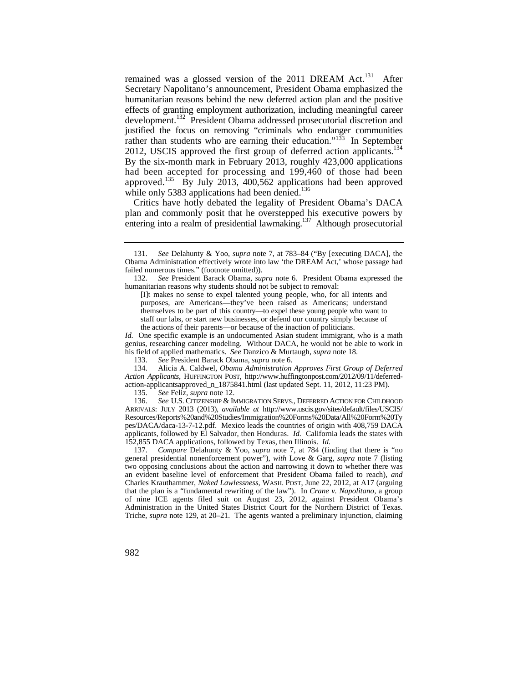remained was a glossed version of the 2011 DREAM Act.<sup>131</sup> After Secretary Napolitano's announcement, President Obama emphasized the humanitarian reasons behind the new deferred action plan and the positive effects of granting employment authorization, including meaningful career development.132 President Obama addressed prosecutorial discretion and justified the focus on removing "criminals who endanger communities rather than students who are earning their education."<sup>133</sup> In September 2012, USCIS approved the first group of deferred action applicants.<sup>134</sup> By the six-month mark in February 2013, roughly 423,000 applications had been accepted for processing and 199,460 of those had been approved.<sup>135</sup> By July 2013, 400,562 applications had been approved while only 5383 applications had been denied.<sup>136</sup>

Critics have hotly debated the legality of President Obama's DACA plan and commonly posit that he overstepped his executive powers by entering into a realm of presidential lawmaking.<sup>137</sup> Although prosecutorial

 themselves to be part of this country—to expel these young people who want to [I]t makes no sense to expel talented young people, who, for all intents and purposes, are Americans—they've been raised as Americans; understand staff our labs, or start new businesses, or defend our country simply because of the actions of their parents—or because of the inaction of politicians.

 his field of applied mathematics. *See* Danzico & Murtaugh, *supra* note 18. *Id.* One specific example is an undocumented Asian student immigrant, who is a math genius, researching cancer modeling. Without DACA, he would not be able to work in

133. *See* President Barack Obama, *supra* note 6.

134. Alicia A. Caldwel, *Obama Administration Approves First Group of Deferred Action Applicants*, HUFFINGTON POST, <http://www.huffingtonpost.com/2012/09/11/deferred>action-applicantsapproved\_n\_1875841.html (last updated Sept. 11, 2012, 11:23 PM).

135. *See* Feliz, *supra* note 12.

 ARRIVALS: JULY 2013 (2013), *available at* [http://www.uscis.gov/sites/default/files/USCIS/](http://www.uscis.gov/sites/default/files/USCIS) 136. *See* U.S. CITIZENSHIP & IMMIGRATION SERVS., DEFERRED ACTION FOR CHILDHOOD Resources/Reports%20and%20Studies/Immigration%20Forms%20Data/All%20Form%20Ty pes/DACA/daca-13-7-12.pdf. Mexico leads the countries of origin with 408,759 DACA applicants, followed by El Salvador, then Honduras. *Id.* California leads the states with 152,855 DACA applications, followed by Texas, then Illinois. *Id.*

 137. *Compare* Delahunty & Yoo, *supra* note 7, at 784 (finding that there is "no general presidential nonenforcement power"), *with* Love & Garg, *supra* note 7 (listing two opposing conclusions about the action and narrowing it down to whether there was an evident baseline level of enforcement that President Obama failed to reach), *and*  Charles Krauthammer, *Naked Lawlessness*, WASH. POST, June 22, 2012, at A17 (arguing that the plan is a "fundamental rewriting of the law"). In *Crane v. Napolitano*, a group of nine ICE agents filed suit on August 23, 2012, against President Obama's Administration in the United States District Court for the Northern District of Texas. Triche, *supra* note 129, at 20–21. The agents wanted a preliminary injunction, claiming

 failed numerous times." (footnote omitted)). 131. *See* Delahunty & Yoo, *supra* note 7, at 783–84 ("By [executing DACA], the Obama Administration effectively wrote into law 'the DREAM Act,' whose passage had

<sup>132.</sup> *See* President Barack Obama, *supra* note 6. President Obama expressed the humanitarian reasons why students should not be subject to removal: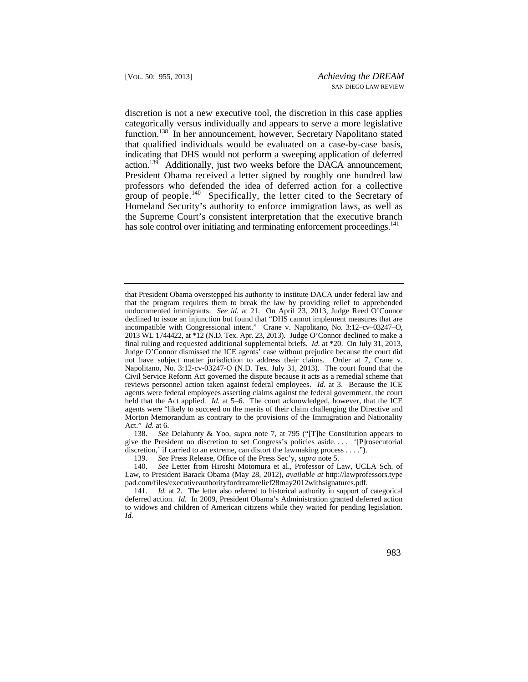discretion is not a new executive tool, the discretion in this case applies that qualified individuals would be evaluated on a case-by-case basis, group of people.<sup>140</sup> Specifically, the letter cited to the Secretary of Homeland Security's authority to enforce immigration laws, as well as categorically versus individually and appears to serve a more legislative function.138 In her announcement, however, Secretary Napolitano stated indicating that DHS would not perform a sweeping application of deferred action.<sup>139</sup> Additionally, just two weeks before the DACA announcement, President Obama received a letter signed by roughly one hundred law professors who defended the idea of deferred action for a collective the Supreme Court's consistent interpretation that the executive branch has sole control over initiating and terminating enforcement proceedings.<sup>141</sup>

138. *See* Delahunty & Yoo, *supra* note 7, at 795 ("[T]he Constitution appears to give the President no discretion to set Congress's policies aside. . . . '[P]rosecutorial discretion,' if carried to an extreme, can distort the lawmaking process . . . .").

 140. *See* Letter from Hiroshi Motomura et al., Professor of Law, UCLA Sch. of Law, to President Barack Obama (May 28, 2012), *available at* <http://lawprofessors.type> [pad.com/files/executiveauthorityfordreamrelief28may2012withsignatures.pdf](https://pad.com/files/executiveauthorityfordreamrelief28may2012withsignatures.pdf).

 undocumented immigrants. *See id.* at 21. On April 23, 2013, Judge Reed O'Connor final ruling and requested additional supplemental briefs. *Id.* at \*20. On July 31, 2013, reviews personnel action taken against federal employees. *Id.* at 3. Because the ICE held that the Act applied. *Id.* at 5–6. The court acknowledged, however, that the ICE that President Obama overstepped his authority to institute DACA under federal law and that the program requires them to break the law by providing relief to apprehended declined to issue an injunction but found that "DHS cannot implement measures that are incompatible with Congressional intent." Crane v. Napolitano, No. 3:12–cv–03247–O, 2013 WL 1744422, at \*12 (N.D. Tex. Apr. 23, 2013). Judge O'Connor declined to make a Judge O'Connor dismissed the ICE agents' case without prejudice because the court did not have subject matter jurisdiction to address their claims. Order at 7, Crane v. Napolitano, No. 3:12-cv-03247-O (N.D. Tex. July 31, 2013). The court found that the Civil Service Reform Act governed the dispute because it acts as a remedial scheme that agents were federal employees asserting claims against the federal government, the court agents were "likely to succeed on the merits of their claim challenging the Directive and Morton Memorandum as contrary to the provisions of the Immigration and Nationality Act." *Id.* at 6.

<sup>139.</sup> *See* Press Release, Office of the Press Sec'y, *supra* note 5.

 deferred action. *Id.* In 2009, President Obama's Administration granted deferred action 141. *Id.* at 2. The letter also referred to historical authority in support of categorical to widows and children of American citizens while they waited for pending legislation. *Id.*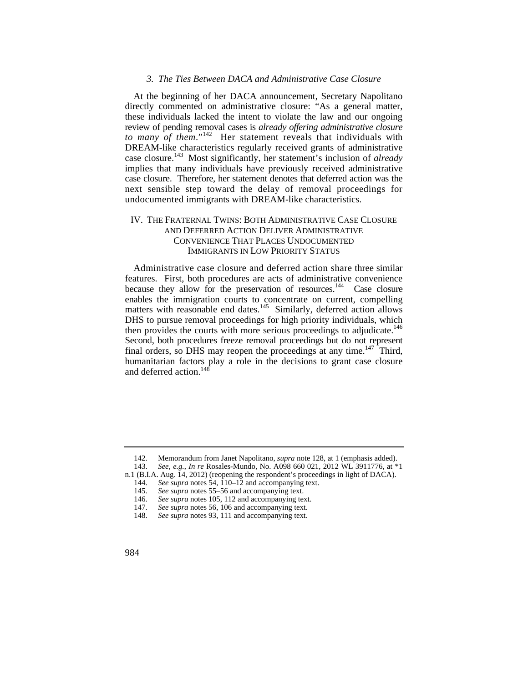#### *3. The Ties Between DACA and Administrative Case Closure*

At the beginning of her DACA announcement, Secretary Napolitano directly commented on administrative closure: "As a general matter, these individuals lacked the intent to violate the law and our ongoing review of pending removal cases is *already offering administrative closure to many of them.*"<sup>142</sup> Her statement reveals that individuals with DREAM-like characteristics regularly received grants of administrative case closure.143 Most significantly, her statement's inclusion of *already*  implies that many individuals have previously received administrative case closure. Therefore, her statement denotes that deferred action was the next sensible step toward the delay of removal proceedings for undocumented immigrants with DREAM-like characteristics.

# IV. THE FRATERNAL TWINS: BOTH ADMINISTRATIVE CASE CLOSURE AND DEFERRED ACTION DELIVER ADMINISTRATIVE CONVENIENCE THAT PLACES UNDOCUMENTED IMMIGRANTS IN LOW PRIORITY STATUS

 Administrative case closure and deferred action share three similar features. First, both procedures are acts of administrative convenience because they allow for the preservation of resources.<sup>144</sup> Case closure enables the immigration courts to concentrate on current, compelling matters with reasonable end dates.<sup>145</sup> Similarly, deferred action allows DHS to pursue removal proceedings for high priority individuals, which then provides the courts with more serious proceedings to adjudicate.<sup>146</sup> Second, both procedures freeze removal proceedings but do not represent final orders, so DHS may reopen the proceedings at any time.<sup>147</sup> Third, humanitarian factors play a role in the decisions to grant case closure and deferred action.148

<sup>142.</sup> Memorandum from Janet Napolitano, *supra* note 128, at 1 (emphasis added).

<sup>143.</sup> *See, e.g.*, *In re* Rosales-Mundo, No. A098 660 021, 2012 WL 3911776, at \*1

n.1 (B.I.A. Aug. 14, 2012) (reopening the respondent's proceedings in light of DACA).

<sup>144.</sup> *See supra* notes 54, 110–12 and accompanying text.

<sup>145.</sup> *See supra* notes 55–56 and accompanying text.

<sup>146.</sup> *See supra* notes 105, 112 and accompanying text.

<sup>147.</sup> *See supra* notes 56, 106 and accompanying text.

<sup>148.</sup> *See supra* notes 93, 111 and accompanying text.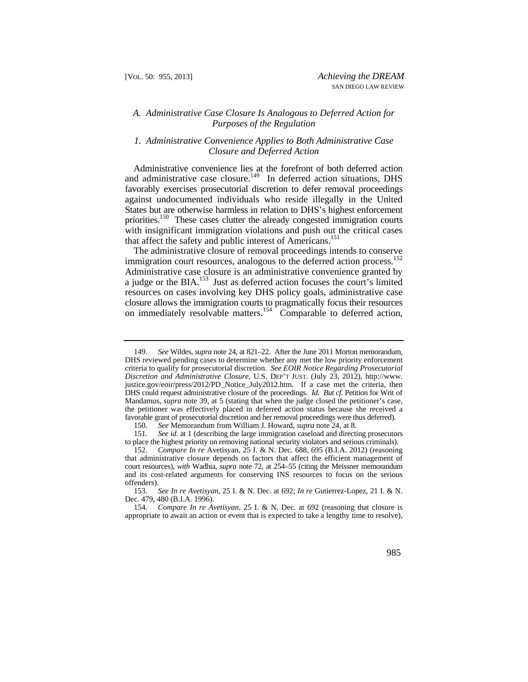## *A. Administrative Case Closure Is Analogous to Deferred Action for Purposes of the Regulation*

## *1. Administrative Convenience Applies to Both Administrative Case Closure and Deferred Action*

 States but are otherwise harmless in relation to DHS's highest enforcement Administrative convenience lies at the forefront of both deferred action and administrative case closure.<sup>149</sup> In deferred action situations, DHS favorably exercises prosecutorial discretion to defer removal proceedings against undocumented individuals who reside illegally in the United priorities.<sup>150</sup> These cases clutter the already congested immigration courts with insignificant immigration violations and push out the critical cases that affect the safety and public interest of Americans.<sup>151</sup>

The administrative closure of removal proceedings intends to conserve immigration court resources, analogous to the deferred action process.<sup>152</sup> Administrative case closure is an administrative convenience granted by a judge or the BIA.<sup>153</sup> Just as deferred action focuses the court's limited resources on cases involving key DHS policy goals, administrative case closure allows the immigration courts to pragmatically focus their resources on immediately resolvable matters.<sup>154</sup> Comparable to deferred action,

 DHS could request administrative closure of the proceedings. *Id. But cf.* Petition for Writ of 149. *See* Wildes, *supra* note 24, at 821–22. After the June 2011 Morton memorandum, DHS reviewed pending cases to determine whether any met the low priority enforcement criteria to qualify for prosecutorial discretion. *See EOIR Notice Regarding Prosecutorial Discretion and Administrative Closure*, U.S. DEP'T JUST. (July 23, 2012), [http://www.](http://www) [justice.gov/eoir/press/2012/PD\\_Notice\\_July2012.htm.](https://justice.gov/eoir/press/2012/PD_Notice_July2012.htm) If a case met the criteria, then Mandamus, *supra* note 39, at 5 (stating that when the judge closed the petitioner's case, the petitioner was effectively placed in deferred action status because she received a favorable grant of prosecutorial discretion and her removal proceedings were thus deferred).

<sup>150.</sup> *See* Memorandum from William J. Howard, *supra* note 24, at 8.

<sup>151</sup>*. See id.* at 1 (describing the large immigration caseload and directing prosecutors to place the highest priority on removing national security violators and serious criminals).<br>152. Compare In re Avetisyan, 25 I. & N. Dec. 688, 695 (B.I.A. 2012) (reasoning

<sup>152.</sup> *Compare In re* Avetisyan, 25 I. & N. Dec. 688, 695 (B.I.A. 2012) (reasoning that administrative closure depends on factors that affect the efficient management of court resources), *with* Wadhia, *supra* note 72, at 254–55 (citing the Meissner memorandum and its cost-related arguments for conserving INS resources to focus on the serious offenders).

<sup>153.</sup> *See In re Avetisyan*, 25 I. & N. Dec. at 692; *In re* Gutierrez-Lopez, 21 I. & N. Dec. 479, 480 (B.I.A. 1996).

<sup>154.</sup> *Compare In re Avetisyan*, 25 I. & N. Dec. at 692 (reasoning that closure is appropriate to await an action or event that is expected to take a lengthy time to resolve),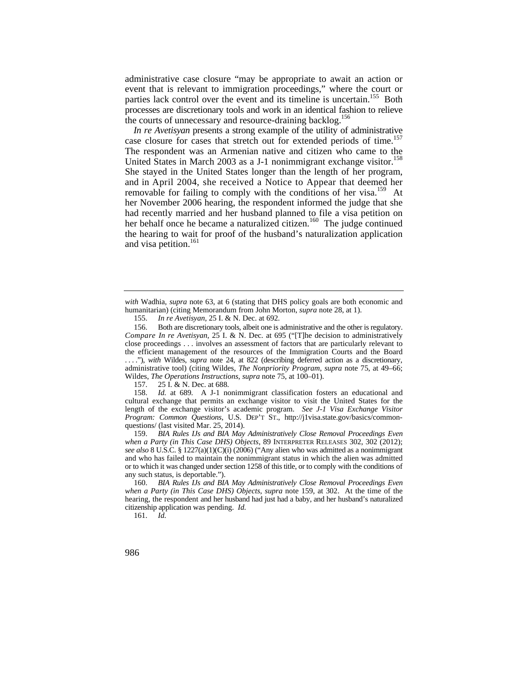administrative case closure "may be appropriate to await an action or event that is relevant to immigration proceedings," where the court or parties lack control over the event and its timeline is uncertain.<sup>155</sup> Both processes are discretionary tools and work in an identical fashion to relieve the courts of unnecessary and resource-draining backlog.<sup>156</sup>

 and in April 2004, she received a Notice to Appear that deemed her *In re Avetisyan* presents a strong example of the utility of administrative case closure for cases that stretch out for extended periods of time.<sup>157</sup> The respondent was an Armenian native and citizen who came to the United States in March 2003 as a J-1 nonimmigrant exchange visitor.<sup>158</sup> She stayed in the United States longer than the length of her program, removable for failing to comply with the conditions of her visa.<sup>159</sup> At her November 2006 hearing, the respondent informed the judge that she had recently married and her husband planned to file a visa petition on her behalf once he became a naturalized citizen.<sup>160</sup> The judge continued the hearing to wait for proof of the husband's naturalization application and visa petition.<sup>161</sup>

157. 25 I. & N. Dec. at 688.

 length of the exchange visitor's academic program. *See J-1 Visa Exchange Visitor*  158. *Id.* at 689*.* A J-1 nonimmigrant classification fosters an educational and cultural exchange that permits an exchange visitor to visit the United States for the *Program: Common Questions*, U.S. DEP'T ST., <http://j1visa.state.gov/basics/common>questions/ (last visited Mar. 25, 2014).

159. BIA Rules IJs and BIA May Administratively Close Removal Proceedings Even or to which it was changed under section 1258 of this title, or to comply with the conditions of *when a Party (in This Case DHS) Objects*, 89 INTERPRETER RELEASES 302, 302 (2012); *see also* 8 U.S.C. § 1227(a)(1)(C)(i) (2006) ("Any alien who was admitted as a nonimmigrant and who has failed to maintain the nonimmigrant status in which the alien was admitted any such status, is deportable.").

160. BIA Rules IJs and BIA May Administratively Close Removal Proceedings Even hearing, the respondent and her husband had just had a baby, and her husband's naturalized citizenship application was pending. *Id. when a Party (in This Case DHS) Objects*, *supra* note 159, at 302. At the time of the

*with* Wadhia, *supra* note 63, at 6 (stating that DHS policy goals are both economic and humanitarian) (citing Memorandum from John Morton, *supra* note 28, at 1).

<sup>155.</sup> *In re Avetisyan*, 25 I. & N. Dec. at 692.

*Compare In re Avetisyan*, 25 I. & N. Dec. at 695 ("[T]he decision to administratively 156. Both are discretionary tools, albeit one is administrative and the other is regulatory. close proceedings . . . involves an assessment of factors that are particularly relevant to the efficient management of the resources of the Immigration Courts and the Board . . . ."), *with* Wildes, *supra* note 24, at 822 (describing deferred action as a discretionary, administrative tool) (citing Wildes, *The Nonpriority Program*, *supra* note 75, at 49–66; Wildes, *The Operations Instructions*, *supra* note 75, at 100–01).

 <sup>161.</sup> *Id.*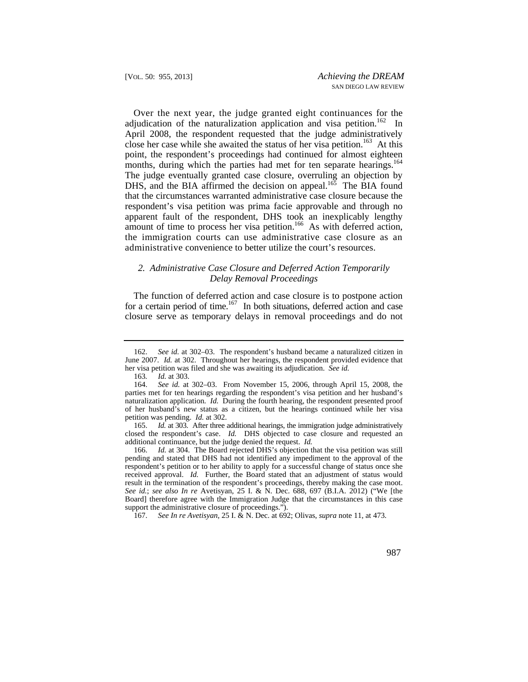Over the next year, the judge granted eight continuances for the months, during which the parties had met for ten separate hearings.<sup>164</sup> adjudication of the naturalization application and visa petition.<sup>162</sup> In April 2008, the respondent requested that the judge administratively close her case while she awaited the status of her visa petition.<sup>163</sup> At this point, the respondent's proceedings had continued for almost eighteen The judge eventually granted case closure, overruling an objection by DHS, and the BIA affirmed the decision on appeal.<sup>165</sup> The BIA found that the circumstances warranted administrative case closure because the respondent's visa petition was prima facie approvable and through no apparent fault of the respondent, DHS took an inexplicably lengthy amount of time to process her visa petition.<sup>166</sup> As with deferred action, the immigration courts can use administrative case closure as an administrative convenience to better utilize the court's resources.

## *2. Administrative Case Closure and Deferred Action Temporarily Delay Removal Proceedings*

The function of deferred action and case closure is to postpone action for a certain period of time.<sup>167</sup> In both situations, deferred action and case closure serve as temporary delays in removal proceedings and do not

167. *See In re Avetisyan*, 25 I. & N. Dec. at 692; Olivas, *supra* note 11, at 473.

 her visa petition was filed and she was awaiting its adjudication. *See id.*  162. *See id.* at 302–03. The respondent's husband became a naturalized citizen in June 2007. *Id.* at 302. Throughout her hearings, the respondent provided evidence that

<sup>163</sup>*. Id.* at 303.

 naturalization application. *Id.* During the fourth hearing, the respondent presented proof 164. *See id.* at 302–03. From November 15, 2006, through April 15, 2008, the parties met for ten hearings regarding the respondent's visa petition and her husband's of her husband's new status as a citizen, but the hearings continued while her visa petition was pending. *Id.* at 302.

 additional continuance, but the judge denied the request. *Id.* 165. *Id.* at 303. After three additional hearings, the immigration judge administratively closed the respondent's case. *Id.* DHS objected to case closure and requested an

 pending and stated that DHS had not identified any impediment to the approval of the respondent's petition or to her ability to apply for a successful change of status once she 166. *Id.* at 304. The Board rejected DHS's objection that the visa petition was still received approval. *Id.* Further, the Board stated that an adjustment of status would result in the termination of the respondent's proceedings, thereby making the case moot. *See id.*; *see also In re* Avetisyan, 25 I. & N. Dec. 688, 697 (B.I.A. 2012) ("We [the Board] therefore agree with the Immigration Judge that the circumstances in this case support the administrative closure of proceedings.").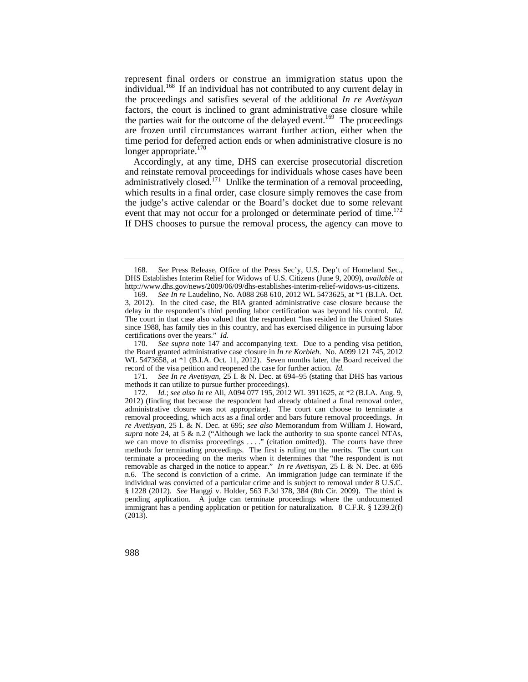the parties wait for the outcome of the delayed event.<sup>169</sup> The proceedings represent final orders or construe an immigration status upon the individual.<sup>168</sup> If an individual has not contributed to any current delay in the proceedings and satisfies several of the additional *In re Avetisyan*  factors, the court is inclined to grant administrative case closure while are frozen until circumstances warrant further action, either when the time period for deferred action ends or when administrative closure is no longer appropriate.<sup>170</sup>

event that may not occur for a prolonged or determinate period of time.<sup>172</sup> Accordingly, at any time, DHS can exercise prosecutorial discretion and reinstate removal proceedings for individuals whose cases have been administratively closed.<sup>171</sup> Unlike the termination of a removal proceeding, which results in a final order, case closure simply removes the case from the judge's active calendar or the Board's docket due to some relevant If DHS chooses to pursue the removal process, the agency can move to

See supra note 147 and accompanying text. Due to a pending visa petition, the Board granted administrative case closure in *In re Korbieh*. No. A099 121 745, 2012 WL 5473658, at \*1 (B.I.A. Oct. 11, 2012). Seven months later, the Board received the record of the visa petition and reopened the case for further action. *Id.*

 171. *See In re Avetisyan*, 25 I. & N. Dec. at 694–95 (stating that DHS has various methods it can utilize to pursue further proceedings).

<sup>168.</sup> *See* Press Release, Office of the Press Sec'y, U.S. Dep't of Homeland Sec., DHS Establishes Interim Relief for Widows of U.S. Citizens (June 9, 2009), *available at*  <http://www.dhs.gov/news/2009/06/09/dhs-establishes-interim-relief-widows-us-citizens>.

 169. *See In re* Laudelino, No. A088 268 610, 2012 WL 5473625, at \*1 (B.I.A. Oct. delay in the respondent's third pending labor certification was beyond his control. *Id.* 3, 2012). In the cited case, the BIA granted administrative case closure because the The court in that case also valued that the respondent "has resided in the United States since 1988, has family ties in this country, and has exercised diligence in pursuing labor certifications over the years." *Id.*<br>170. See supra note 147 an

we can move to dismiss proceedings . . . ." (citation omitted)). The courts have three 172. *Id.*; *see also In re* Ali, A094 077 195, 2012 WL 3911625, at \*2 (B.I.A. Aug. 9, 2012) (finding that because the respondent had already obtained a final removal order, administrative closure was not appropriate). The court can choose to terminate a removal proceeding, which acts as a final order and bars future removal proceedings. *In re Avetisyan*, 25 I. & N. Dec. at 695; *see also* Memorandum from William J. Howard, *supra* note 24, at 5 & n.2 ("Although we lack the authority to sua sponte cancel NTAs, methods for terminating proceedings. The first is ruling on the merits. The court can terminate a proceeding on the merits when it determines that "the respondent is not removable as charged in the notice to appear." *In re Avetisyan*, 25 I. & N. Dec. at 695 n.6. The second is conviction of a crime. An immigration judge can terminate if the individual was convicted of a particular crime and is subject to removal under 8 U.S.C. § 1228 (2012). *See* Hanggi v. Holder, 563 F.3d 378, 384 (8th Cir. 2009). The third is pending application. A judge can terminate proceedings where the undocumented immigrant has a pending application or petition for naturalization. 8 C.F.R. § 1239.2(f) (2013).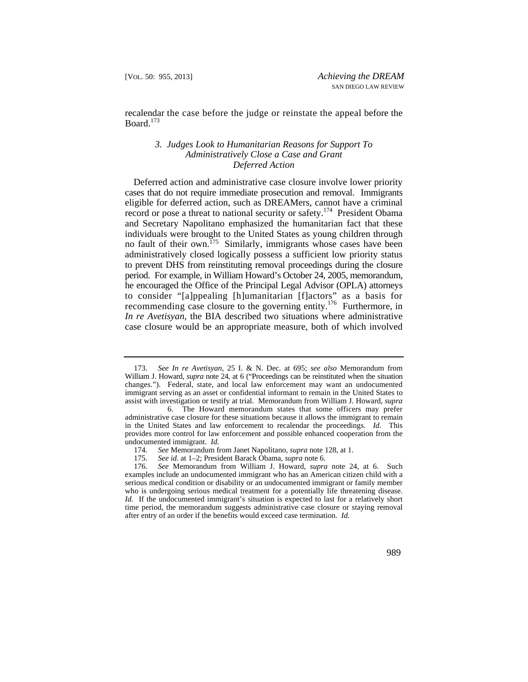recalendar the case before the judge or reinstate the appeal before the Board. $173$ 

## *3. Judges Look to Humanitarian Reasons for Support To Administratively Close a Case and Grant Deferred Action*

record or pose a threat to national security or safety.<sup>174</sup> President Obama Deferred action and administrative case closure involve lower priority cases that do not require immediate prosecution and removal. Immigrants eligible for deferred action, such as DREAMers, cannot have a criminal and Secretary Napolitano emphasized the humanitarian fact that these individuals were brought to the United States as young children through no fault of their own.<sup>175</sup> Similarly, immigrants whose cases have been administratively closed logically possess a sufficient low priority status to prevent DHS from reinstituting removal proceedings during the closure period. For example, in William Howard's October 24, 2005, memorandum, he encouraged the Office of the Principal Legal Advisor (OPLA) attorneys to consider "[a]ppealing [h]umanitarian [f]actors" as a basis for recommending case closure to the governing entity.<sup>176</sup> Furthermore, in *In re Avetisyan*, the BIA described two situations where administrative case closure would be an appropriate measure, both of which involved

<sup>173.</sup> *See In re Avetisyan*, 25 I. & N. Dec. at 695; *see also* Memorandum from William J. Howard, *supra* note 24, at 6 ("Proceedings can be reinstituted when the situation changes."). Federal, state, and local law enforcement may want an undocumented immigrant serving as an asset or confidential informant to remain in the United States to assist with investigation or testify at trial. Memorandum from William J. Howard, *supra*

<sup>6.</sup> The Howard memorandum states that some officers may prefer undocumented immigrant. *Id.* administrative case closure for these situations because it allows the immigrant to remain in the United States and law enforcement to recalendar the proceedings. *Id.* This provides more control for law enforcement and possible enhanced cooperation from the

 <sup>174.</sup> *See* Memorandum from Janet Napolitano, *supra* note 128, at 1.

<sup>175.</sup> *See id.* at 1–2; President Barack Obama, *supra* note 6.

<sup>176.</sup> *See* Memorandum from William J. Howard, *supra* note 24, at 6. Such examples include an undocumented immigrant who has an American citizen child with a serious medical condition or disability or an undocumented immigrant or family member who is undergoing serious medical treatment for a potentially life threatening disease. *Id.* If the undocumented immigrant's situation is expected to last for a relatively short time period, the memorandum suggests administrative case closure or staying removal after entry of an order if the benefits would exceed case termination. *Id.*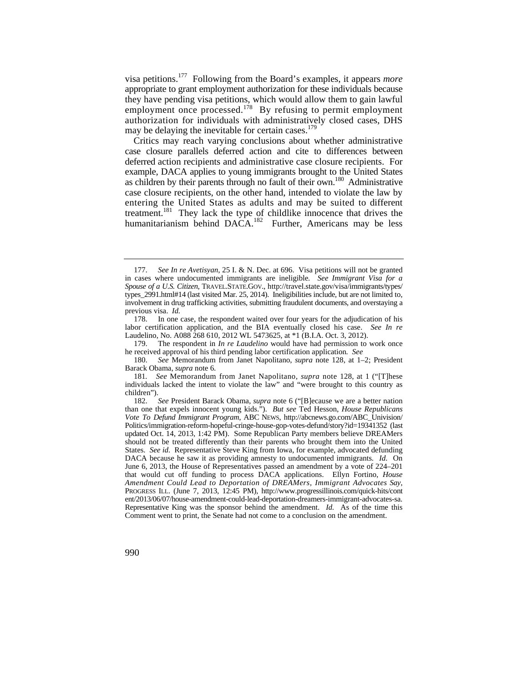visa petitions.177 Following from the Board's examples, it appears *more*  appropriate to grant employment authorization for these individuals because they have pending visa petitions, which would allow them to gain lawful employment once processed.<sup>178</sup> By refusing to permit employment authorization for individuals with administratively closed cases, DHS may be delaying the inevitable for certain cases. $179$ 

treatment.<sup>181</sup> They lack the type of childlike innocence that drives the Critics may reach varying conclusions about whether administrative case closure parallels deferred action and cite to differences between deferred action recipients and administrative case closure recipients. For example, DACA applies to young immigrants brought to the United States as children by their parents through no fault of their own.<sup>180</sup> Administrative case closure recipients, on the other hand, intended to violate the law by entering the United States as adults and may be suited to different humanitarianism behind  $DACA$ <sup>182</sup> Further, Americans may be less

The respondent in *In re Laudelino* would have had permission to work once he received approval of his third pending labor certification application. See

 in cases where undocumented immigrants are ineligible*. See Immigrant Visa for a*  types\_2991.html#14 (last visited Mar. 25, 2014). Ineligibilities include, but are not limited to, 177. *See In re Avetisyan*, 25 I. & N. Dec. at 696. Visa petitions will not be granted *Spouse of a U.S. Citizen*, [TRAVEL.STATE.GOV.](https://TRAVEL.STATE.GOV), [http://travel.state.gov/visa/immigrants/types/](http://travel.state.gov/visa/immigrants/types) involvement in drug trafficking activities, submitting fraudulent documents, and overstaying a previous visa. *Id.* 

 labor certification application, and the BIA eventually closed his case. *See In re*  178. In one case, the respondent waited over four years for the adjudication of his Laudelino, No. A088 268 610, 2012 WL 5473625, at  $*1$  (B.I.A. Oct. 3, 2012).<br>179. The respondent in *In re Laudelino* would have had permission to

 <sup>180.</sup> *See* Memorandum from Janet Napolitano, *supra* note 128, at 1–2; President Barack Obama, *supra* note 6.

<sup>181</sup>*. See* Memorandum from Janet Napolitano, *supra* note 128, at 1 ("[T]hese individuals lacked the intent to violate the law" and "were brought to this country as children").

 States. *See id.* Representative Steve King from Iowa, for example, advocated defunding PROGRESS ILL. (June 7, 2013, 12:45 PM), <http://www.progressillinois.com/quick-hits/cont> 182. *See* President Barack Obama, *supra* note 6 ("[B]ecause we are a better nation than one that expels innocent young kids."). *But see* Ted Hesson, *House Republicans Vote To Defund Immigrant Program*, ABC NEWS, [http://abcnews.go.com/ABC\\_Univision/](http://abcnews.go.com/ABC_Univision) Politics/immigration-reform-hopeful-cringe-house-gop-votes-defund/story?id=19341352 (last updated Oct. 14, 2013, 1:42 PM). Some Republican Party members believe DREAMers should not be treated differently than their parents who brought them into the United DACA because he saw it as providing amnesty to undocumented immigrants*. Id.* On June 6, 2013, the House of Representatives passed an amendment by a vote of 224–201 that would cut off funding to process DACA applications. Ellyn Fortino, *House Amendment Could Lead to Deportation of DREAMers, Immigrant Advocates Say*, ent/2013/06/07/house-amendment-could-lead-deportation-dreamers-immigrant-advocates-sa. Representative King was the sponsor behind the amendment. *Id.* As of the time this Comment went to print, the Senate had not come to a conclusion on the amendment.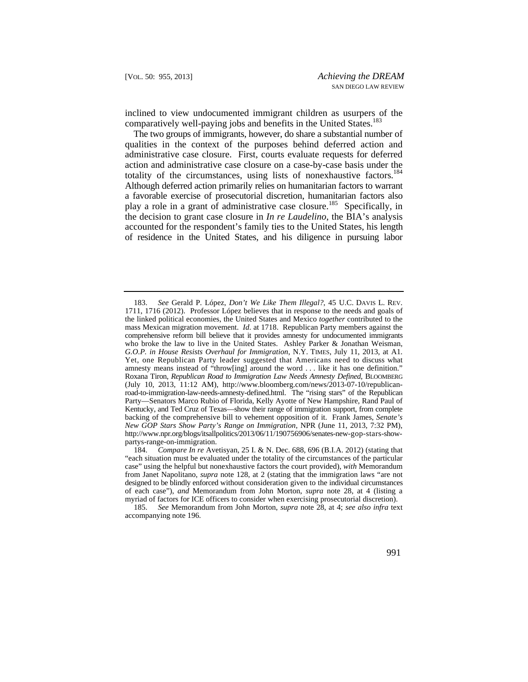inclined to view undocumented immigrant children as usurpers of the comparatively well-paying jobs and benefits in the United States.<sup>183</sup>

The two groups of immigrants, however, do share a substantial number of qualities in the context of the purposes behind deferred action and administrative case closure. First, courts evaluate requests for deferred action and administrative case closure on a case-by-case basis under the totality of the circumstances, using lists of nonexhaustive factors.<sup>184</sup> Although deferred action primarily relies on humanitarian factors to warrant a favorable exercise of prosecutorial discretion, humanitarian factors also play a role in a grant of administrative case closure.<sup>185</sup> Specifically, in the decision to grant case closure in *In re Laudelino*, the BIA's analysis accounted for the respondent's family ties to the United States, his length of residence in the United States, and his diligence in pursuing labor

 183. *See* Gerald P. López, *Don't We Like Them Illegal?*, 45 U.C. DAVIS L. REV. Yet, one Republican Party leader suggested that Americans need to discuss what 1711, 1716 (2012). Professor López believes that in response to the needs and goals of the linked political economies, the United States and Mexico *together* contributed to the mass Mexican migration movement. *Id.* at 1718. Republican Party members against the comprehensive reform bill believe that it provides amnesty for undocumented immigrants who broke the law to live in the United States. Ashley Parker & Jonathan Weisman, *G.O.P. in House Resists Overhaul for Immigration*, N.Y. TIMES, July 11, 2013, at A1. amnesty means instead of "throw[ing] around the word . . . like it has one definition." Roxana Tiron, *Republican Road to Immigration Law Needs Amnesty Defined*, BLOOMBERG (July 10, 2013, 11:12 AM), <http://www.bloomberg.com/news/2013-07-10/republican>road-to-immigration-law-needs-amnesty-defined.html. The "rising stars" of the Republican Party—Senators Marco Rubio of Florida, Kelly Ayotte of New Hampshire, Rand Paul of Kentucky, and Ted Cruz of Texas—show their range of immigration support, from complete backing of the comprehensive bill to vehement opposition of it. Frank James, *Senate's New GOP Stars Show Party's Range on Immigration*, NPR (June 11, 2013, 7:32 PM), <http://www.npr.org/blogs/itsallpolitics/2013/06/11/190756906/senates-new-gop-stars-show>partys-range-on-immigration.

 designed to be blindly enforced without consideration given to the individual circumstances 184. *Compare In re* Avetisyan, 25 I. & N. Dec. 688, 696 (B.I.A. 2012) (stating that "each situation must be evaluated under the totality of the circumstances of the particular case" using the helpful but nonexhaustive factors the court provided), *with* Memorandum from Janet Napolitano, *supra* note 128, at 2 (stating that the immigration laws "are not of each case"), *and* Memorandum from John Morton, *supra* note 28, at 4 (listing a myriad of factors for ICE officers to consider when exercising prosecutorial discretion).

<sup>185.</sup> *See* Memorandum from John Morton, *supra* note 28, at 4; *see also infra* text accompanying note 196.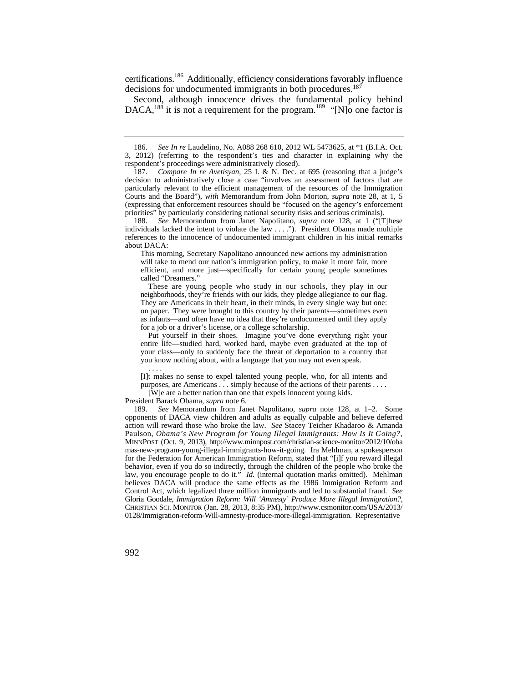certifications.<sup>186</sup> Additionally, efficiency considerations favorably influence decisions for undocumented immigrants in both procedures.<sup>187</sup>

DACA,<sup>188</sup> it is not a requirement for the program.<sup>189</sup> "[N]o one factor is Second, although innocence drives the fundamental policy behind

This morning, Secretary Napolitano announced new actions my administration will take to mend our nation's immigration policy, to make it more fair, more efficient, and more just—specifically for certain young people sometimes called "Dreamers."

 as infants—and often have no idea that they're undocumented until they apply These are young people who study in our schools, they play in our neighborhoods, they're friends with our kids, they pledge allegiance to our flag. They are Americans in their heart, in their minds, in every single way but one: on paper. They were brought to this country by their parents—sometimes even for a job or a driver's license, or a college scholarship.

Put yourself in their shoes. Imagine you've done everything right your entire life—studied hard, worked hard, maybe even graduated at the top of your class—only to suddenly face the threat of deportation to a country that you know nothing about, with a language that you may not even speak.

. . . .

[I]t makes no sense to expel talented young people, who, for all intents and purposes, are Americans . . . simply because of the actions of their parents . . . .

[W]e are a better nation than one that expels innocent young kids.

President Barack Obama, *supra* note 6.

 law, you encourage people to do it." *Id.* (internal quotation marks omitted). Mehlman 189. *See* Memorandum from Janet Napolitano, *supra* note 128, at 1–2. Some opponents of DACA view children and adults as equally culpable and believe deferred action will reward those who broke the law. *See* Stacey Teicher Khadaroo & Amanda Paulson, *Obama's New Program for Young Illegal Immigrants: How Is It Going?*, MINNPOST (Oct. 9, 2013), <http://www.minnpost.com/christian-science-monitor/2012/10/oba> mas-new-program-young-illegal-immigrants-how-it-going. Ira Mehlman, a spokesperson for the Federation for American Immigration Reform, stated that "[i]f you reward illegal behavior, even if you do so indirectly, through the children of the people who broke the believes DACA will produce the same effects as the 1986 Immigration Reform and Control Act, which legalized three million immigrants and led to substantial fraud. *See*  Gloria Goodale, *Immigration Reform: Will 'Amnesty' Produce More Illegal Immigration?*, CHRISTIAN SCI. MONITOR (Jan. 28, 2013, 8:35 PM), [http://www.csmonitor.com/USA/2013/](http://www.csmonitor.com/USA/2013) 0128/Immigration-reform-Will-amnesty-produce-more-illegal-immigration. Representative

<sup>186.</sup> *See In re* Laudelino, No. A088 268 610, 2012 WL 5473625, at \*1 (B.I.A. Oct. 3, 2012) (referring to the respondent's ties and character in explaining why the respondent's proceedings were administratively closed).

 priorities" by particularly considering national security risks and serious criminals). 187. *Compare In re Avetisyan*, 25 I. & N. Dec. at 695 (reasoning that a judge's decision to administratively close a case "involves an assessment of factors that are particularly relevant to the efficient management of the resources of the Immigration Courts and the Board"), *with* Memorandum from John Morton, *supra* note 28, at 1, 5 (expressing that enforcement resources should be "focused on the agency's enforcement

 individuals lacked the intent to violate the law . . . ."). President Obama made multiple references to the innocence of undocumented immigrant children in his initial remarks 188. *See* Memorandum from Janet Napolitano, *supra* note 128, at 1 ("[T]hese about DACA: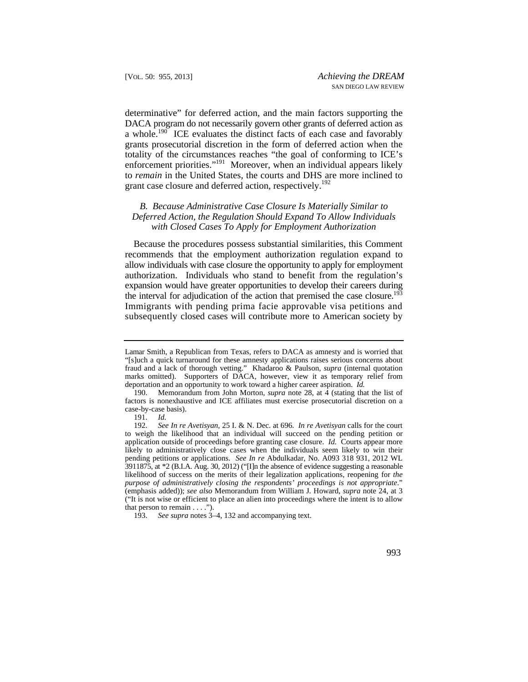enforcement priorities."<sup>191</sup> Moreover, when an individual appears likely determinative" for deferred action, and the main factors supporting the DACA program do not necessarily govern other grants of deferred action as a whole.<sup>190</sup> ICE evaluates the distinct facts of each case and favorably grants prosecutorial discretion in the form of deferred action when the totality of the circumstances reaches "the goal of conforming to ICE's to *remain* in the United States, the courts and DHS are more inclined to grant case closure and deferred action, respectively.<sup>192</sup>

## *B. Because Administrative Case Closure Is Materially Similar to Deferred Action, the Regulation Should Expand To Allow Individuals with Closed Cases To Apply for Employment Authorization*

Because the procedures possess substantial similarities, this Comment recommends that the employment authorization regulation expand to allow individuals with case closure the opportunity to apply for employment authorization. Individuals who stand to benefit from the regulation's expansion would have greater opportunities to develop their careers during the interval for adjudication of the action that premised the case closure.<sup>193</sup> Immigrants with pending prima facie approvable visa petitions and subsequently closed cases will contribute more to American society by

 deportation and an opportunity to work toward a higher career aspiration. *Id.*  Lamar Smith, a Republican from Texas, refers to DACA as amnesty and is worried that "[s]uch a quick turnaround for these amnesty applications raises serious concerns about fraud and a lack of thorough vetting." Khadaroo & Paulson, *supra* (internal quotation marks omitted). Supporters of DACA, however, view it as temporary relief from

<sup>190.</sup> Memorandum from John Morton, *supra* note 28, at 4 (stating that the list of factors is nonexhaustive and ICE affiliates must exercise prosecutorial discretion on a case-by-case basis).

<sup>191.</sup> *Id.*

 application outside of proceedings before granting case closure. *Id.* Courts appear more 192. *See In re Avetisyan*, 25 I. & N. Dec. at 696. *In re Avetisyan* calls for the court to weigh the likelihood that an individual will succeed on the pending petition or likely to administratively close cases when the individuals seem likely to win their pending petitions or applications. *See In re* Abdulkadar, No. A093 318 931, 2012 WL 3911875, at  $*2$  (B.I.A. Aug. 30, 2012) ("[I]n the absence of evidence suggesting a reasonable likelihood of success on the merits of their legalization applications, reopening for *the purpose of administratively closing the respondents' proceedings is not appropriate*." (emphasis added)); *see also* Memorandum from William J. Howard, *supra* note 24, at 3 ("It is not wise or efficient to place an alien into proceedings where the intent is to allow that person to remain  $\dots$ .").

<sup>193.</sup> *See supra* notes 3–4, 132 and accompanying text.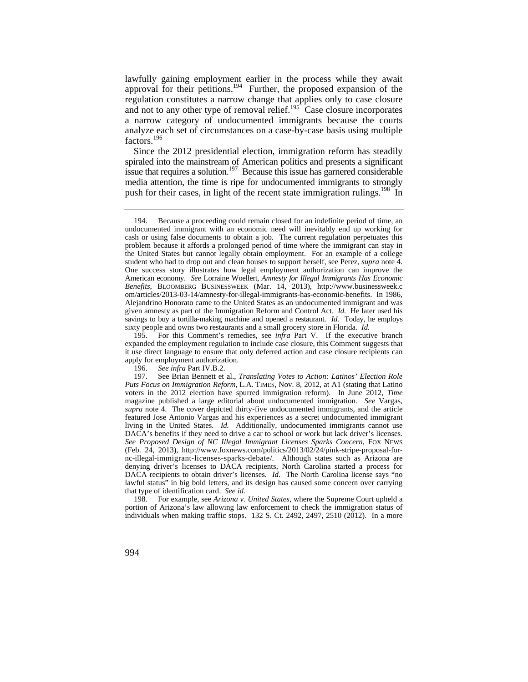lawfully gaining employment earlier in the process while they await approval for their petitions.<sup>194</sup> Further, the proposed expansion of the regulation constitutes a narrow change that applies only to case closure and not to any other type of removal relief.<sup>195</sup> Case closure incorporates a narrow category of undocumented immigrants because the courts analyze each set of circumstances on a case-by-case basis using multiple factors.<sup>196</sup>

push for their cases, in light of the recent state immigration rulings.<sup>198</sup> In Since the 2012 presidential election, immigration reform has steadily spiraled into the mainstream of American politics and presents a significant issue that requires a solution.<sup>197</sup> Because this issue has garnered considerable media attention, the time is ripe for undocumented immigrants to strongly

198. For example, see *Arizona v. United States*, where the Supreme Court upheld a portion of Arizona's law allowing law enforcement to check the immigration status of individuals when making traffic stops. 132 S. Ct. 2492, 2497, 2510 (2012). In a more

 cash or using false documents to obtain a job. The current regulation perpetuates this problem because it affords a prolonged period of time where the immigrant can stay in sixty people and owns two restaurants and a small grocery store in Florida. *Id.*  194. Because a proceeding could remain closed for an indefinite period of time, an undocumented immigrant with an economic need will inevitably end up working for the United States but cannot legally obtain employment. For an example of a college student who had to drop out and clean houses to support herself, see Perez, *supra* note 4. One success story illustrates how legal employment authorization can improve the American economy. *See* Lorraine Woellert, *Amnesty for Illegal Immigrants Has Economic Benefits*, BLOOMBERG BUSINESSWEEK (Mar. 14, 2013), <http://www.businessweek.c> om/articles/2013-03-14/amnesty-for-illegal-immigrants-has-economic-benefits. In 1986, Alejandrino Honorato came to the United States as an undocumented immigrant and was given amnesty as part of the Immigration Reform and Control Act. *Id.* He later used his savings to buy a tortilla-making machine and opened a restaurant. *Id.* Today, he employs

<sup>195.</sup> For this Comment's remedies, see *infra* Part V. If the executive branch expanded the employment regulation to include case closure, this Comment suggests that it use direct language to ensure that only deferred action and case closure recipients can apply for employment authorization.

<sup>196.</sup> *See infra* Part IV.B.2.

Puts Focus on Immigration Reform, L.A. TIMES, Nov. 8, 2012, at A1 (stating that Latino magazine published a large editorial about undocumented immigration. *See* Vargas, DACA recipients to obtain driver's licenses. *Id.* The North Carolina license says "no that type of identification card. *See id.*  197. See Brian Bennett et al., *Translating Votes to Action: Latinos' Election Role*  voters in the 2012 election have spurred immigration reform). In June 2012, *Time supra* note 4. The cover depicted thirty-five undocumented immigrants, and the article featured Jose Antonio Vargas and his experiences as a secret undocumented immigrant living in the United States. *Id.* Additionally, undocumented immigrants cannot use DACA's benefits if they need to drive a car to school or work but lack driver's licenses. *See Proposed Design of NC Illegal Immigrant Licenses Sparks Concern*, FOX NEWS (Feb. 24, 2013), <http://www.foxnews.com/politics/2013/02/24/pink-stripe-proposal-for>nc-illegal-immigrant-licenses-sparks-debate/. Although states such as Arizona are denying driver's licenses to DACA recipients, North Carolina started a process for lawful status" in big bold letters, and its design has caused some concern over carrying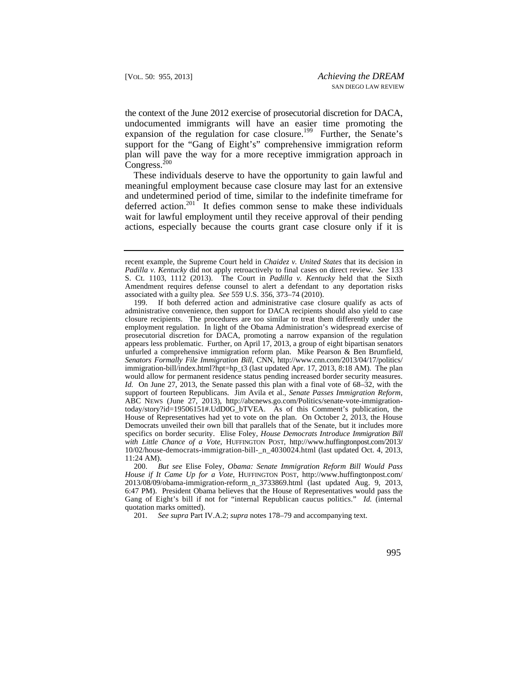the context of the June 2012 exercise of prosecutorial discretion for DACA, undocumented immigrants will have an easier time promoting the expansion of the regulation for case closure.<sup>199</sup> Further, the Senate's support for the "Gang of Eight's" comprehensive immigration reform plan will pave the way for a more receptive immigration approach in Congress. $^{200}$ 

These individuals deserve to have the opportunity to gain lawful and meaningful employment because case closure may last for an extensive and undetermined period of time, similar to the indefinite timeframe for deferred action.<sup>201</sup> It defies common sense to make these individuals wait for lawful employment until they receive approval of their pending actions, especially because the courts grant case closure only if it is

201. *See supra* Part IV.A.2; *supra* notes 178–79 and accompanying text.

 associated with a guilty plea. *See* 559 U.S. 356, 373–74 (2010). recent example, the Supreme Court held in *Chaidez v. United States* that its decision in *Padilla v. Kentucky* did not apply retroactively to final cases on direct review. *See* 133 S. Ct. 1103, 1112 (2013). The Court in *Padilla v. Kentucky* held that the Sixth Amendment requires defense counsel to alert a defendant to any deportation risks

 closure recipients. The procedures are too similar to treat them differently under the employment regulation. In light of the Obama Administration's widespread exercise of  specifics on border security. Elise Foley, *House Democrats Introduce Immigration Bill*  199. If both deferred action and administrative case closure qualify as acts of administrative convenience, then support for DACA recipients should also yield to case prosecutorial discretion for DACA, promoting a narrow expansion of the regulation appears less problematic. Further, on April 17, 2013, a group of eight bipartisan senators unfurled a comprehensive immigration reform plan. Mike Pearson & Ben Brumfield, *Senators Formally File Immigration Bill*, CNN, [http://www.cnn.com/2013/04/17/politics/](http://www.cnn.com/2013/04/17/politics) immigration-bill/index.html?hpt=hp\_t3 (last updated Apr. 17, 2013, 8:18 AM). The plan would allow for permanent residence status pending increased border security measures. *Id.* On June 27, 2013, the Senate passed this plan with a final vote of 68–32, with the support of fourteen Republicans. Jim Avila et al., *Senate Passes Immigration Reform*, ABC NEWS (June 27, 2013), <http://abcnews.go.com/Politics/senate-vote-immigration>today/story?id=19506151#.UdD0G\_bTVEA. As of this Comment's publication, the House of Representatives had yet to vote on the plan. On October 2, 2013, the House Democrats unveiled their own bill that parallels that of the Senate, but it includes more *with Little Chance of a Vote*, HUFFINGTON POST, [http://www.huffingtonpost.com/2013/](http://www.huffingtonpost.com/2013) 10/02/house-democrats-immigration-bill-\_n\_4030024.html (last updated Oct. 4, 2013, 11:24 AM).

 Gang of Eight's bill if not for "internal Republican caucus politics." *Id.* (internal 200. *But see* Elise Foley, *Obama: Senate Immigration Reform Bill Would Pass House if It Came Up for a Vote*, HUFFINGTON POST, [http://www.huffingtonpost.com/](http://www.huffingtonpost.com) 2013/08/09/obama-immigration-reform\_n\_3733869.html (last updated Aug. 9, 2013, 6:47 PM). President Obama believes that the House of Representatives would pass the quotation marks omitted).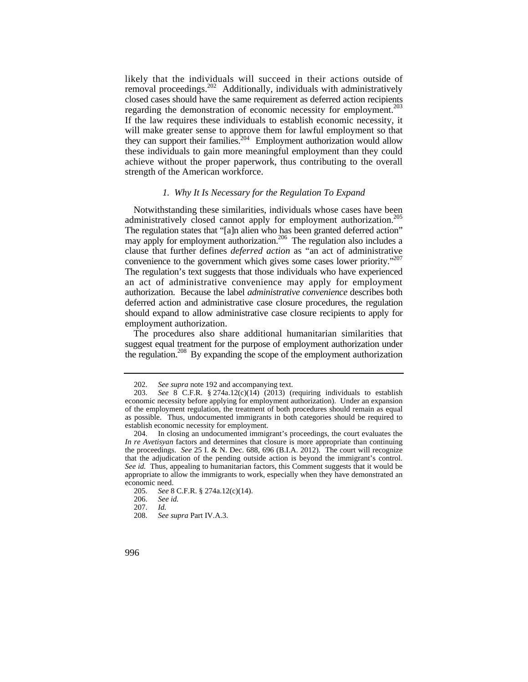likely that the individuals will succeed in their actions outside of regarding the demonstration of economic necessity for employment.<sup>203</sup> removal proceedings.<sup>202</sup> Additionally, individuals with administratively closed cases should have the same requirement as deferred action recipients If the law requires these individuals to establish economic necessity, it will make greater sense to approve them for lawful employment so that they can support their families.<sup>204</sup> Employment authorization would allow these individuals to gain more meaningful employment than they could achieve without the proper paperwork, thus contributing to the overall strength of the American workforce.

#### *1. Why It Is Necessary for the Regulation To Expand*

may apply for employment authorization.<sup>206</sup> The regulation also includes a Notwithstanding these similarities, individuals whose cases have been administratively closed cannot apply for employment authorization.<sup>205</sup> The regulation states that "[a]n alien who has been granted deferred action" clause that further defines *deferred action* as "an act of administrative convenience to the government which gives some cases lower priority."<sup>207</sup> The regulation's text suggests that those individuals who have experienced an act of administrative convenience may apply for employment authorization. Because the label *administrative convenience* describes both deferred action and administrative case closure procedures, the regulation should expand to allow administrative case closure recipients to apply for employment authorization.

The procedures also share additional humanitarian similarities that suggest equal treatment for the purpose of employment authorization under the regulation.<sup>208</sup> By expanding the scope of the employment authorization

<sup>202.</sup> *See supra* note 192 and accompanying text.

<sup>203.</sup> *See* 8 C.F.R. § 274a.12(c)(14) (2013) (requiring individuals to establish economic necessity before applying for employment authorization). Under an expansion of the employment regulation, the treatment of both procedures should remain as equal as possible. Thus, undocumented immigrants in both categories should be required to establish economic necessity for employment.

<sup>204.</sup> In closing an undocumented immigrant's proceedings, the court evaluates the *In re Avetisyan* factors and determines that closure is more appropriate than continuing the proceedings. *See* 25 I. & N. Dec. 688, 696 (B.I.A. 2012). The court will recognize that the adjudication of the pending outside action is beyond the immigrant's control. *See id.* Thus, appealing to humanitarian factors, this Comment suggests that it would be appropriate to allow the immigrants to work, especially when they have demonstrated an economic need.

<sup>205.</sup> *See* 8 C.F.R. § 274a.12(c)(14).

<sup>206.</sup> *See id.*

 <sup>207.</sup> *Id.*

 <sup>208.</sup> *See supra* Part IV.A.3.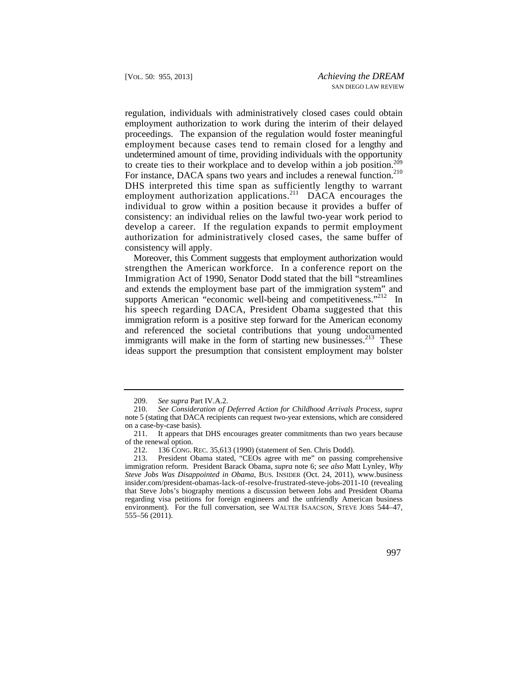employment because cases tend to remain closed for a lengthy and DHS interpreted this time span as sufficiently lengthy to warrant regulation, individuals with administratively closed cases could obtain employment authorization to work during the interim of their delayed proceedings. The expansion of the regulation would foster meaningful undetermined amount of time, providing individuals with the opportunity to create ties to their workplace and to develop within a job position.209 For instance, DACA spans two years and includes a renewal function.<sup>210</sup> employment authorization applications.<sup>211</sup> DACA encourages the individual to grow within a position because it provides a buffer of consistency: an individual relies on the lawful two-year work period to develop a career. If the regulation expands to permit employment authorization for administratively closed cases, the same buffer of consistency will apply.

supports American "economic well-being and competitiveness."<sup>212</sup> In Moreover, this Comment suggests that employment authorization would strengthen the American workforce. In a conference report on the Immigration Act of 1990, Senator Dodd stated that the bill "streamlines and extends the employment base part of the immigration system" and his speech regarding DACA, President Obama suggested that this immigration reform is a positive step forward for the American economy and referenced the societal contributions that young undocumented immigrants will make in the form of starting new businesses.<sup>213</sup> These ideas support the presumption that consistent employment may bolster

<sup>209.</sup> *See supra* Part IV.A.2.

 <sup>210.</sup> *See Consideration of Deferred Action for Childhood Arrivals Process*, *supra* note 5 (stating that DACA recipients can request two-year extensions, which are considered on a case-by-case basis).

<sup>211.</sup> It appears that DHS encourages greater commitments than two years because of the renewal option.

<sup>212. 136</sup> CONG. REC. 35,613 (1990) (statement of Sen. Chris Dodd).<br>213. President Obama stated, "CEOs agree with me" on passing President Obama stated, "CEOs agree with me" on passing comprehensive immigration reform. President Barack Obama, *supra* note 6; *see also* Matt Lynley, *Why Steve Jobs Was Disappointed in Obama*, BUS. INSIDER (Oct. 24, 2011), <www.business> [insider.com/president-obamas-lack-of-resolve-frustrated-steve-jobs-2011-10](https://insider.com/president-obamas-lack-of-resolve-frustrated-steve-jobs-2011-10) (revealing that Steve Jobs's biography mentions a discussion between Jobs and President Obama regarding visa petitions for foreign engineers and the unfriendly American business environment). For the full conversation, see WALTER ISAACSON, STEVE JOBS 544–47, 555–56 (2011).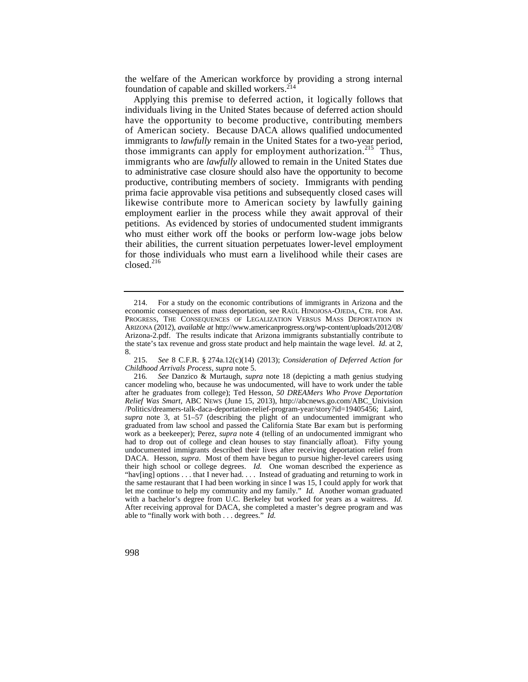the welfare of the American workforce by providing a strong internal foundation of capable and skilled workers.<sup>214</sup>

 Applying this premise to deferred action, it logically follows that individuals living in the United States because of deferred action should have the opportunity to become productive, contributing members of American society. Because DACA allows qualified undocumented immigrants to *lawfully* remain in the United States for a two-year period, those immigrants can apply for employment authorization.<sup>215</sup> Thus, immigrants who are *lawfully* allowed to remain in the United States due to administrative case closure should also have the opportunity to become productive, contributing members of society. Immigrants with pending prima facie approvable visa petitions and subsequently closed cases will likewise contribute more to American society by lawfully gaining employment earlier in the process while they await approval of their petitions. As evidenced by stories of undocumented student immigrants who must either work off the books or perform low-wage jobs below their abilities, the current situation perpetuates lower-level employment for those individuals who must earn a livelihood while their cases are closed.<sup>216</sup>

<sup>214.</sup> For a study on the economic contributions of immigrants in Arizona and the economic consequences of mass deportation, see RAÚL HINOJOSA-OJEDA, CTR. FOR AM. PROGRESS, THE CONSEQUENCES OF LEGALIZATION VERSUS MASS DEPORTATION IN ARIZONA (2012), *available at* [http://www.americanprogress.org/wp-content/uploads/2012/08/](http://www.americanprogress.org/wp-content/uploads/2012/08) Arizona-2.pdf. The results indicate that Arizona immigrants substantially contribute to the state's tax revenue and gross state product and help maintain the wage level. *Id.* at 2, 8.

<sup>215.</sup> *See* 8 C.F.R. § 274a.12(c)(14) (2013); *Consideration of Deferred Action for Childhood Arrivals Process*, *supra* note 5.

 let me continue to help my community and my family." *Id.* Another woman graduated with a bachelor's degree from U.C. Berkeley but worked for years as a waitress. *Id.*  able to "finally work with both . . . degrees." *Id.*  216*. See* Danzico & Murtaugh, *supra* note 18 (depicting a math genius studying cancer modeling who, because he was undocumented, will have to work under the table after he graduates from college); Ted Hesson, *50 DREAMers Who Prove Deportation Relief Was Smart*, ABC NEWS (June 15, 2013), [http://abcnews.go.com/ABC\\_Univision](http://abcnews.go.com/ABC_Univision) /Politics/dreamers-talk-daca-deportation-relief-program-year/story?id=19405456; Laird, *supra* note 3, at 51–57 (describing the plight of an undocumented immigrant who graduated from law school and passed the California State Bar exam but is performing work as a beekeeper); Perez, *supra* note 4 (telling of an undocumented immigrant who had to drop out of college and clean houses to stay financially afloat). Fifty young undocumented immigrants described their lives after receiving deportation relief from DACA. Hesson, *supra*. Most of them have begun to pursue higher-level careers using their high school or college degrees. *Id.* One woman described the experience as "hav[ing] options . . . that I never had. . . . Instead of graduating and returning to work in the same restaurant that I had been working in since I was 15, I could apply for work that After receiving approval for DACA, she completed a master's degree program and was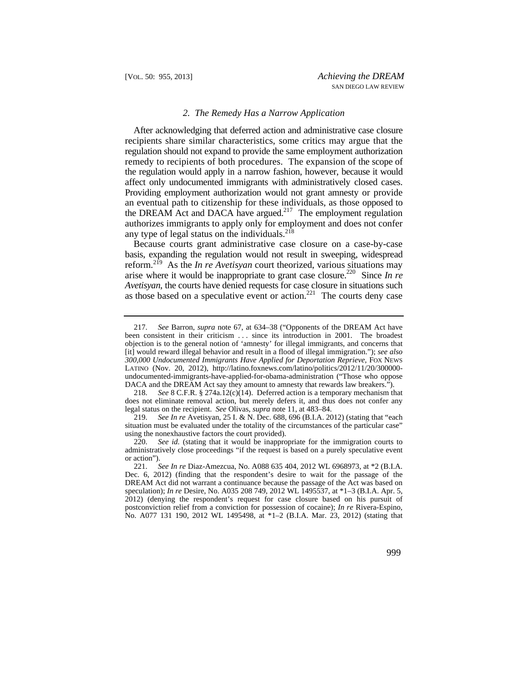#### *2. The Remedy Has a Narrow Application*

 remedy to recipients of both procedures. The expansion of the scope of Providing employment authorization would not grant amnesty or provide After acknowledging that deferred action and administrative case closure recipients share similar characteristics, some critics may argue that the regulation should not expand to provide the same employment authorization the regulation would apply in a narrow fashion, however, because it would affect only undocumented immigrants with administratively closed cases. an eventual path to citizenship for these individuals, as those opposed to the DREAM Act and DACA have argued.<sup>217</sup> The employment regulation authorizes immigrants to apply only for employment and does not confer any type of legal status on the individuals. $2^{18}$ 

Because courts grant administrative case closure on a case-by-case basis, expanding the regulation would not result in sweeping, widespread reform.219 As the *In re Avetisyan* court theorized, various situations may arise where it would be inappropriate to grant case closure.<sup>220</sup> Since *In re Avetisyan*, the courts have denied requests for case closure in situations such as those based on a speculative event or action.<sup>221</sup> The courts deny case

 DACA and the DREAM Act say they amount to amnesty that rewards law breakers."). 217. *See* Barron, *supra* note 67, at 634–38 ("Opponents of the DREAM Act have been consistent in their criticism ... since its introduction in 2001. The broadest objection is to the general notion of 'amnesty' for illegal immigrants, and concerns that [it] would reward illegal behavior and result in a flood of illegal immigration."); *see also 300,000 Undocumented Immigrants Have Applied for Deportation Reprieve*, FOX NEWS LATINO (Nov. 20, 2012), <http://latino.foxnews.com/latino/politics/2012/11/20/300000> undocumented-immigrants-have-applied-for-obama-administration ("Those who oppose

<sup>218.</sup> *See* 8 C.F.R. § 274a.12(c)(14). Deferred action is a temporary mechanism that does not eliminate removal action, but merely defers it, and thus does not confer any legal status on the recipient. *See* Olivas, *supra* note 11, at 483–84.

<sup>219.</sup> *See In re* Avetisyan, 25 I. & N. Dec. 688, 696 (B.I.A. 2012) (stating that "each situation must be evaluated under the totality of the circumstances of the particular case" using the nonexhaustive factors the court provided).

<sup>220.</sup> *See id.* (stating that it would be inappropriate for the immigration courts to administratively close proceedings "if the request is based on a purely speculative event or action").

<sup>221.</sup> *See In re* Diaz-Amezcua, No. A088 635 404, 2012 WL 6968973, at \*2 (B.I.A. Dec. 6, 2012) (finding that the respondent's desire to wait for the passage of the DREAM Act did not warrant a continuance because the passage of the Act was based on speculation); *In re* Desire, No. A035 208 749, 2012 WL 1495537, at \*1–3 (B.I.A. Apr. 5, 2012) (denying the respondent's request for case closure based on his pursuit of postconviction relief from a conviction for possession of cocaine); *In re* Rivera-Espino, No. A077 131 190, 2012 WL 1495498, at \*1–2 (B.I.A. Mar. 23, 2012) (stating that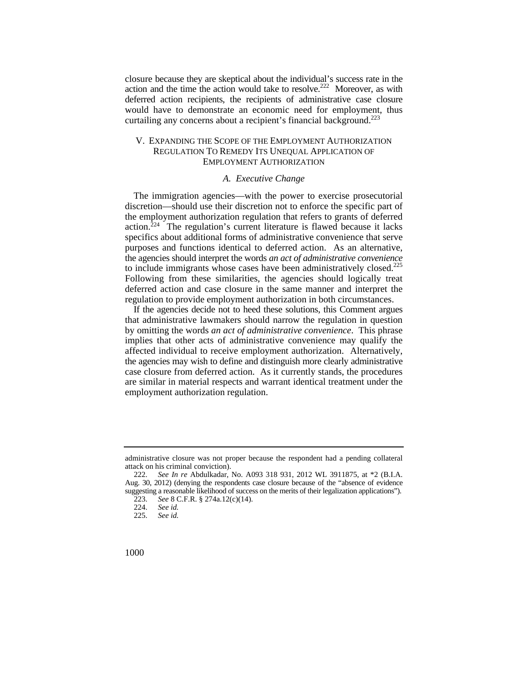action and the time the action would take to resolve.<sup>222</sup> Moreover, as with closure because they are skeptical about the individual's success rate in the deferred action recipients, the recipients of administrative case closure would have to demonstrate an economic need for employment, thus curtailing any concerns about a recipient's financial background.<sup>223</sup>

# V. EXPANDING THE SCOPE OF THE EMPLOYMENT AUTHORIZATION REGULATION TO REMEDY ITS UNEQUAL APPLICATION OF EMPLOYMENT AUTHORIZATION

#### *A. Executive Change*

to include immigrants whose cases have been administratively closed.<sup>225</sup> The immigration agencies—with the power to exercise prosecutorial discretion—should use their discretion not to enforce the specific part of the employment authorization regulation that refers to grants of deferred action.<sup> $224$ </sup> The regulation's current literature is flawed because it lacks specifics about additional forms of administrative convenience that serve purposes and functions identical to deferred action. As an alternative, the agencies should interpret the words *an act of administrative convenience*  Following from these similarities, the agencies should logically treat deferred action and case closure in the same manner and interpret the regulation to provide employment authorization in both circumstances.

If the agencies decide not to heed these solutions, this Comment argues that administrative lawmakers should narrow the regulation in question by omitting the words *an act of administrative convenience*. This phrase implies that other acts of administrative convenience may qualify the affected individual to receive employment authorization. Alternatively, the agencies may wish to define and distinguish more clearly administrative case closure from deferred action. As it currently stands, the procedures are similar in material respects and warrant identical treatment under the employment authorization regulation.

administrative closure was not proper because the respondent had a pending collateral attack on his criminal conviction).<br>222. See In re Abdulkadar,

<sup>222.</sup> *See In re* Abdulkadar, No. A093 318 931, 2012 WL 3911875, at \*2 (B.I.A. Aug. 30, 2012) (denying the respondents case closure because of the "absence of evidence suggesting a reasonable likelihood of success on the merits of their legalization applications").

<sup>223.</sup> *See* 8 C.F.R. § 274a.12(c)(14).

<sup>224.</sup> *See id.*

See id.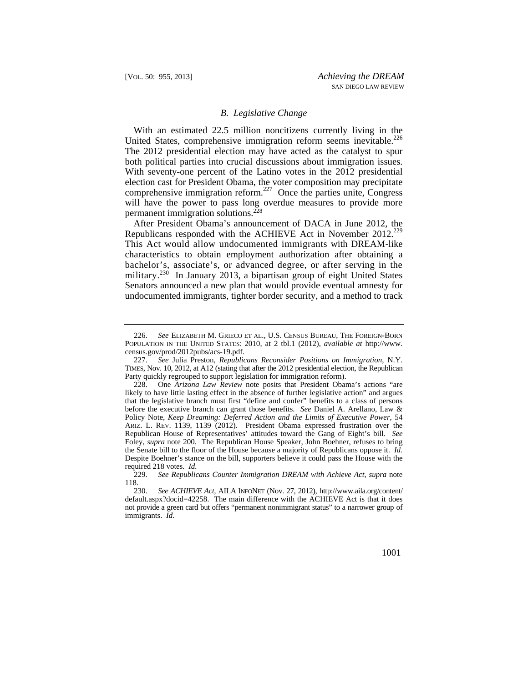## *B. Legislative Change*

With an estimated 22.5 million noncitizens currently living in the United States, comprehensive immigration reform seems inevitable.<sup>226</sup> The 2012 presidential election may have acted as the catalyst to spur both political parties into crucial discussions about immigration issues. With seventy-one percent of the Latino votes in the 2012 presidential election cast for President Obama, the voter composition may precipitate comprehensive immigration reform.<sup>227</sup> Once the parties unite, Congress will have the power to pass long overdue measures to provide more permanent immigration solutions.<sup>228</sup>

After President Obama's announcement of DACA in June 2012, the Republicans responded with the ACHIEVE Act in November 2012.<sup>229</sup> This Act would allow undocumented immigrants with DREAM-like characteristics to obtain employment authorization after obtaining a bachelor's, associate's, or advanced degree, or after serving in the military.<sup>230</sup> In January 2013, a bipartisan group of eight United States Senators announced a new plan that would provide eventual amnesty for undocumented immigrants, tighter border security, and a method to track

 226. *See* ELIZABETH M. GRIECO ET AL., U.S. CENSUS BUREAU, THE FOREIGN-BORN POPULATION IN THE UNITED STATES: 2010, at 2 tbl.1 (2012), *available at* [http://www.](http://www) [census.gov/prod/2012pubs/acs-19.pdf.](https://census.gov/prod/2012pubs/acs-19.pdf)

<sup>227.</sup> *See* Julia Preston, *Republicans Reconsider Positions on Immigration*, N.Y. TIMES, Nov. 10, 2012, at A12 (stating that after the 2012 presidential election, the Republican Party quickly regrouped to support legislation for immigration reform).

 ARIZ. L. REV. 1139, 1139 (2012). President Obama expressed frustration over the Republican House of Representatives' attitudes toward the Gang of Eight's bill. *See*  228. One *Arizona Law Review* note posits that President Obama's actions "are likely to have little lasting effect in the absence of further legislative action" and argues that the legislative branch must first "define and confer" benefits to a class of persons before the executive branch can grant those benefits. *See* Daniel A. Arellano, Law & Policy Note, *Keep Dreaming: Deferred Action and the Limits of Executive Power*, 54 Foley, *supra* note 200. The Republican House Speaker, John Boehner, refuses to bring the Senate bill to the floor of the House because a majority of Republicans oppose it. *Id.* Despite Boehner's stance on the bill, supporters believe it could pass the House with the required 218 votes. *Id.*

 <sup>229.</sup> *See Republicans Counter Immigration DREAM with Achieve Act*, *supra* note 118.

 immigrants. *Id.*  230. *See ACHIEVE Act*, AILA INFONET (Nov. 27, 2012), [http://www.aila.org/content/](http://www.aila.org/content) default.aspx?docid=42258. The main difference with the ACHIEVE Act is that it does not provide a green card but offers "permanent nonimmigrant status" to a narrower group of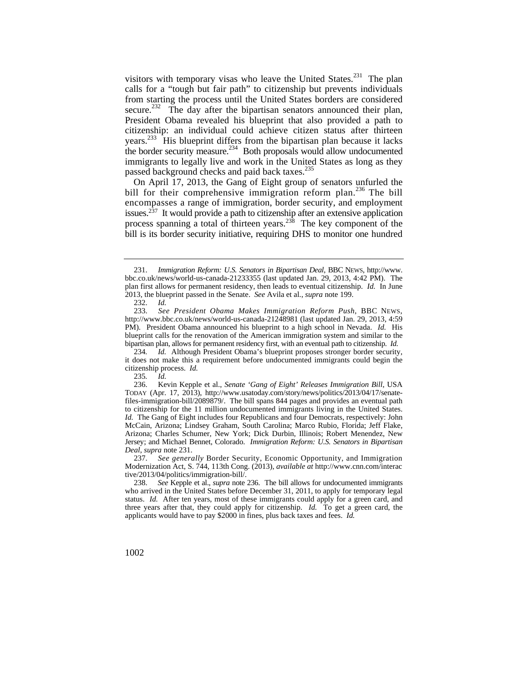visitors with temporary visas who leave the United States.<sup>231</sup> The plan calls for a "tough but fair path" to citizenship but prevents individuals from starting the process until the United States borders are considered secure.<sup>232</sup> The day after the bipartisan senators announced their plan, President Obama revealed his blueprint that also provided a path to citizenship: an individual could achieve citizen status after thirteen years.<sup>233</sup> His blueprint differs from the bipartisan plan because it lacks the border security measure.<sup>234</sup> Both proposals would allow undocumented immigrants to legally live and work in the United States as long as they passed background checks and paid back taxes.<sup>235</sup>

On April 17, 2013, the Gang of Eight group of senators unfurled the bill for their comprehensive immigration reform plan.<sup>236</sup> The bill encompasses a range of immigration, border security, and employment issues.<sup>237</sup> It would provide a path to citizenship after an extensive application process spanning a total of thirteen years.238 The key component of the bill is its border security initiative, requiring DHS to monitor one hundred

237. *See generally* Border Security, Economic Opportunity, and Immigration Modernization Act, S. 744, 113th Cong. (2013), *available at* <http://www.cnn.com/interac> tive/2013/04/politics/immigration-bill/.

 231. *Immigration Reform: U.S. Senators in Bipartisan Deal*, BBC NEWS, [http://www.](http://www) bbc.co.uk/news/world-us-canada-21233355 (last updated Jan. 29, 2013, 4:42 PM). The plan first allows for permanent residency, then leads to eventual citizenship. *Id.* In June 2013, the blueprint passed in the Senate. *See* Avila et al., *supra* note 199.

<sup>232.</sup> *Id.* 233. *See President Obama Makes Immigration Reform Push*, BBC NEWS, <http://www.bbc.co.uk/news/world-us-canada-21248981>(last updated Jan. 29, 2013, 4:59 PM). President Obama announced his blueprint to a high school in Nevada. *Id.* His blueprint calls for the renovation of the American immigration system and similar to the bipartisan plan, allows for permanent residency first, with an eventual path to citizenship. *Id.* 

<sup>234</sup>*. Id.* Although President Obama's blueprint proposes stronger border security, it does not make this a requirement before undocumented immigrants could begin the citizenship process. *Id.* 

<sup>235</sup>*. Id.*

 *Id.* The Gang of Eight includes four Republicans and four Democrats, respectively: John 236. Kevin Kepple et al., *Senate 'Gang of Eight' Releases Immigration Bill*, USA TODAY (Apr. 17, 2013), <http://www.usatoday.com/story/news/politics/2013/04/17/senate>files-immigration-bill/2089879/. The bill spans 844 pages and provides an eventual path to citizenship for the 11 million undocumented immigrants living in the United States. McCain, Arizona; Lindsey Graham, South Carolina; Marco Rubio, Florida; Jeff Flake, Arizona; Charles Schumer, New York; Dick Durbin, Illinois; Robert Menendez, New Jersey; and Michael Bennet, Colorado. *Immigration Reform: U.S. Senators in Bipartisan Deal*, *supra* note 231.

 status. *Id.* After ten years, most of these immigrants could apply for a green card, and three years after that, they could apply for citizenship. *Id.* To get a green card, the 238. *See* Kepple et al., *supra* note 236. The bill allows for undocumented immigrants who arrived in the United States before December 31, 2011, to apply for temporary legal applicants would have to pay \$2000 in fines, plus back taxes and fees. *Id.*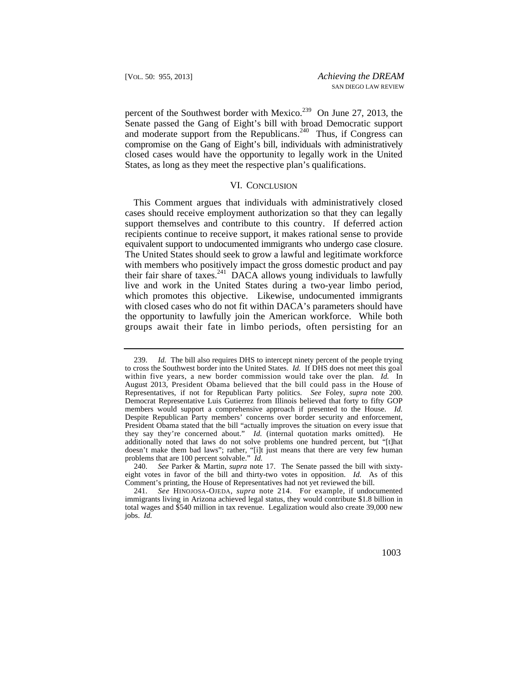percent of the Southwest border with Mexico.<sup>239</sup> On June 27, 2013, the Senate passed the Gang of Eight's bill with broad Democratic support and moderate support from the Republicans.<sup>240</sup> Thus, if Congress can compromise on the Gang of Eight's bill, individuals with administratively closed cases would have the opportunity to legally work in the United States, as long as they meet the respective plan's qualifications.

#### VI. CONCLUSION

This Comment argues that individuals with administratively closed cases should receive employment authorization so that they can legally support themselves and contribute to this country. If deferred action recipients continue to receive support, it makes rational sense to provide equivalent support to undocumented immigrants who undergo case closure. The United States should seek to grow a lawful and legitimate workforce with members who positively impact the gross domestic product and pay their fair share of taxes.<sup>241</sup> DACA allows young individuals to lawfully live and work in the United States during a two-year limbo period, which promotes this objective. Likewise, undocumented immigrants with closed cases who do not fit within DACA's parameters should have the opportunity to lawfully join the American workforce. While both groups await their fate in limbo periods, often persisting for an

 within five years, a new border commission would take over the plan. *Id.* In August 2013, President Obama believed that the bill could pass in the House of 239. *Id.* The bill also requires DHS to intercept ninety percent of the people trying to cross the Southwest border into the United States. *Id.* If DHS does not meet this goal Representatives, if not for Republican Party politics. *See* Foley, *supra* note 200. Democrat Representative Luis Gutierrez from Illinois believed that forty to fifty GOP members would support a comprehensive approach if presented to the House. *Id.* Despite Republican Party members' concerns over border security and enforcement, President Obama stated that the bill "actually improves the situation on every issue that they say they're concerned about." *Id.* (internal quotation marks omitted). He additionally noted that laws do not solve problems one hundred percent, but "[t]hat doesn't make them bad laws"; rather, "[i]t just means that there are very few human problems that are 100 percent solvable." *Id.*

 <sup>240.</sup> *See* Parker & Martin, *supra* note 17. The Senate passed the bill with sixtyeight votes in favor of the bill and thirty-two votes in opposition. *Id.* As of this Comment's printing, the House of Representatives had not yet reviewed the bill.

 241. *See* HINOJOSA-OJEDA*, supra* note 214. For example, if undocumented immigrants living in Arizona achieved legal status, they would contribute \$1.8 billion in total wages and \$540 million in tax revenue. Legalization would also create 39,000 new jobs. *Id.*